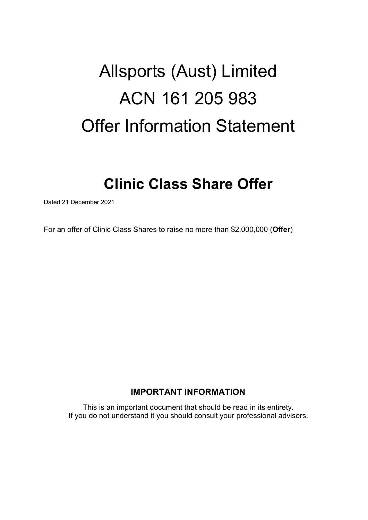# Allsports (Aust) Limited ACN 161 205 983 Offer Information Statement

## **Clinic Class Share Offer**

Dated 21 December 2021

For an offer of Clinic Class Shares to raise no more than \$2,000,000 (**Offer**)

## **IMPORTANT INFORMATION**

This is an important document that should be read in its entirety. If you do not understand it you should consult your professional advisers.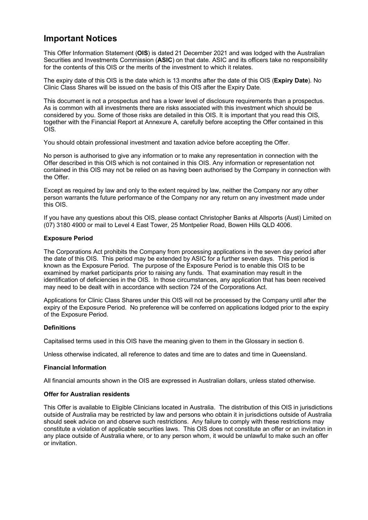## **Important Notices**

This Offer Information Statement (**OIS**) is dated 21 December 2021 and was lodged with the Australian Securities and Investments Commission (**ASIC**) on that date. ASIC and its officers take no responsibility for the contents of this OIS or the merits of the investment to which it relates.

The expiry date of this OIS is the date which is 13 months after the date of this OIS (**Expiry Date**). No Clinic Class Shares will be issued on the basis of this OIS after the Expiry Date.

This document is not a prospectus and has a lower level of disclosure requirements than a prospectus. As is common with all investments there are risks associated with this investment which should be considered by you. Some of those risks are detailed in this OIS. It is important that you read this OIS, together with the Financial Report at Annexure A, carefully before accepting the Offer contained in this OIS.

You should obtain professional investment and taxation advice before accepting the Offer.

No person is authorised to give any information or to make any representation in connection with the Offer described in this OIS which is not contained in this OIS. Any information or representation not contained in this OIS may not be relied on as having been authorised by the Company in connection with the Offer.

Except as required by law and only to the extent required by law, neither the Company nor any other person warrants the future performance of the Company nor any return on any investment made under this OIS.

If you have any questions about this OIS, please contact Christopher Banks at Allsports (Aust) Limited on (07) 3180 4900 or mail to Level 4 East Tower, 25 Montpelier Road, Bowen Hills QLD 4006.

#### **Exposure Period**

The Corporations Act prohibits the Company from processing applications in the seven day period after the date of this OIS. This period may be extended by ASIC for a further seven days. This period is known as the Exposure Period. The purpose of the Exposure Period is to enable this OIS to be examined by market participants prior to raising any funds. That examination may result in the identification of deficiencies in the OIS. In those circumstances, any application that has been received may need to be dealt with in accordance with section 724 of the Corporations Act.

Applications for Clinic Class Shares under this OIS will not be processed by the Company until after the expiry of the Exposure Period. No preference will be conferred on applications lodged prior to the expiry of the Exposure Period.

#### **Definitions**

Capitalised terms used in this OIS have the meaning given to them in the Glossary in section [6.](#page-23-0)

Unless otherwise indicated, all reference to dates and time are to dates and time in Queensland.

#### **Financial Information**

All financial amounts shown in the OIS are expressed in Australian dollars, unless stated otherwise.

#### **Offer for Australian residents**

This Offer is available to Eligible Clinicians located in Australia. The distribution of this OIS in jurisdictions outside of Australia may be restricted by law and persons who obtain it in jurisdictions outside of Australia should seek advice on and observe such restrictions. Any failure to comply with these restrictions may constitute a violation of applicable securities laws. This OIS does not constitute an offer or an invitation in any place outside of Australia where, or to any person whom, it would be unlawful to make such an offer or invitation.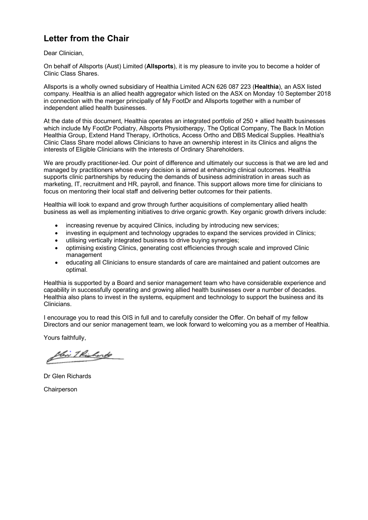## **Letter from the Chair**

Dear Clinician,

On behalf of Allsports (Aust) Limited (**Allsports**), it is my pleasure to invite you to become a holder of Clinic Class Shares.

Allsports is a wholly owned subsidiary of Healthia Limited ACN 626 087 223 (**Healthia**), an ASX listed company. Healthia is an allied health aggregator which listed on the ASX on Monday 10 September 2018 in connection with the merger principally of My FootDr and Allsports together with a number of independent allied health businesses.

At the date of this document, Healthia operates an integrated portfolio of 250 + allied health businesses which include My FootDr Podiatry, Allsports Physiotherapy, The Optical Company, The Back In Motion Healthia Group, Extend Hand Therapy, iOrthotics, Access Ortho and DBS Medical Supplies. Healthia's Clinic Class Share model allows Clinicians to have an ownership interest in its Clinics and aligns the interests of Eligible Clinicians with the interests of Ordinary Shareholders.

We are proudly practitioner-led. Our point of difference and ultimately our success is that we are led and managed by practitioners whose every decision is aimed at enhancing clinical outcomes. Healthia supports clinic partnerships by reducing the demands of business administration in areas such as marketing, IT, recruitment and HR, payroll, and finance. This support allows more time for clinicians to focus on mentoring their local staff and delivering better outcomes for their patients.

Healthia will look to expand and grow through further acquisitions of complementary allied health business as well as implementing initiatives to drive organic growth. Key organic growth drivers include:

- increasing revenue by acquired Clinics, including by introducing new services;
- investing in equipment and technology upgrades to expand the services provided in Clinics;
- utilising vertically integrated business to drive buying synergies;
- optimising existing Clinics, generating cost efficiencies through scale and improved Clinic management
- educating all Clinicians to ensure standards of care are maintained and patient outcomes are optimal.

Healthia is supported by a Board and senior management team who have considerable experience and capability in successfully operating and growing allied health businesses over a number of decades. Healthia also plans to invest in the systems, equipment and technology to support the business and its Clinicians.

I encourage you to read this OIS in full and to carefully consider the Offer. On behalf of my fellow Directors and our senior management team, we look forward to welcoming you as a member of Healthia.

Yours faithfully,

bi Thishorts

Dr Glen Richards

**Chairperson**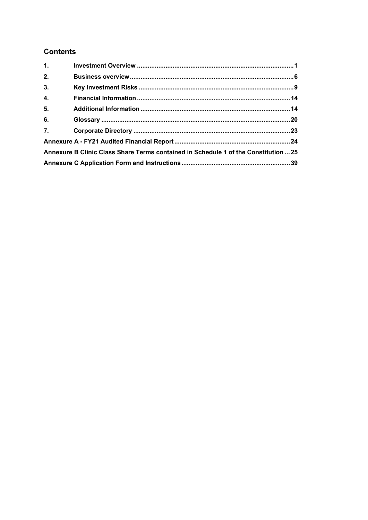## **Contents**

| 1.77 |                                                                                     |  |  |
|------|-------------------------------------------------------------------------------------|--|--|
| 2.   |                                                                                     |  |  |
| 3.   |                                                                                     |  |  |
| 4.   |                                                                                     |  |  |
| 5.   |                                                                                     |  |  |
| 6.   |                                                                                     |  |  |
| 7.   |                                                                                     |  |  |
|      |                                                                                     |  |  |
|      | Annexure B Clinic Class Share Terms contained in Schedule 1 of the Constitution  25 |  |  |
|      |                                                                                     |  |  |
|      |                                                                                     |  |  |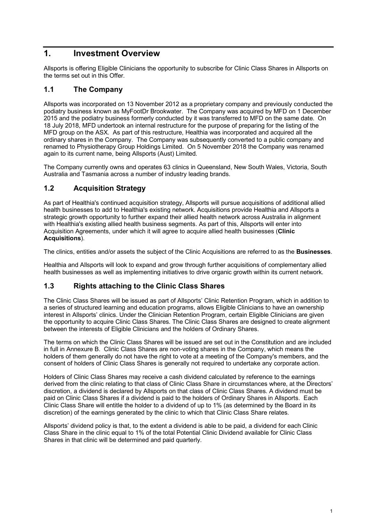## <span id="page-4-0"></span>**1. Investment Overview**

Allsports is offering Eligible Clinicians the opportunity to subscribe for Clinic Class Shares in Allsports on the terms set out in this Offer.

#### **1.1 The Company**

Allsports was incorporated on 13 November 2012 as a proprietary company and previously conducted the podiatry business known as MyFootDr Brookwater. The Company was acquired by MFD on 1 December 2015 and the podiatry business formerly conducted by it was transferred to MFD on the same date. On 18 July 2018, MFD undertook an internal restructure for the purpose of preparing for the listing of the MFD group on the ASX. As part of this restructure, Healthia was incorporated and acquired all the ordinary shares in the Company. The Company was subsequently converted to a public company and renamed to Physiotherapy Group Holdings Limited. On 5 November 2018 the Company was renamed again to its current name, being Allsports (Aust) Limited.

The Company currently owns and operates 63 clinics in Queensland, New South Wales, Victoria, South Australia and Tasmania across a number of industry leading brands.

## **1.2 Acquisition Strategy**

As part of Healthia's continued acquisition strategy, Allsports will pursue acquisitions of additional allied health businesses to add to Healthia's existing network. Acquisitions provide Healthia and Allsports a strategic growth opportunity to further expand their allied health network across Australia in alignment with Healthia's existing allied health business segments. As part of this, Allsports will enter into Acquisition Agreements, under which it will agree to acquire allied health businesses (**Clinic Acquisitions**).

The clinics, entities and/or assets the subject of the Clinic Acquisitions are referred to as the **Businesses**.

Healthia and Allsports will look to expand and grow through further acquisitions of complementary allied health businesses as well as implementing initiatives to drive organic growth within its current network.

#### <span id="page-4-1"></span>**1.3 Rights attaching to the Clinic Class Shares**

The Clinic Class Shares will be issued as part of Allsports' Clinic Retention Program, which in addition to a series of structured learning and education programs, allows Eligible Clinicians to have an ownership interest in Allsports' clinics. Under the Clinician Retention Program, certain Eligible Clinicians are given the opportunity to acquire Clinic Class Shares. The Clinic Class Shares are designed to create alignment between the interests of Eligible Clinicians and the holders of Ordinary Shares.

The terms on which the Clinic Class Shares will be issued are set out in the Constitution and are included in full in [Annexure B.](#page-28-0) Clinic Class Shares are non-voting shares in the Company, which means the holders of them generally do not have the right to vote at a meeting of the Company's members, and the consent of holders of Clinic Class Shares is generally not required to undertake any corporate action.

Holders of Clinic Class Shares may receive a cash dividend calculated by reference to the earnings derived from the clinic relating to that class of Clinic Class Share in circumstances where, at the Directors' discretion, a dividend is declared by Allsports on that class of Clinic Class Shares. A dividend must be paid on Clinic Class Shares if a dividend is paid to the holders of Ordinary Shares in Allsports. Each Clinic Class Share will entitle the holder to a dividend of up to 1% (as determined by the Board in its discretion) of the earnings generated by the clinic to which that Clinic Class Share relates.

Allsports' dividend policy is that, to the extent a dividend is able to be paid, a dividend for each Clinic Class Share in the clinic equal to 1% of the total Potential Clinic Dividend available for Clinic Class Shares in that clinic will be determined and paid quarterly.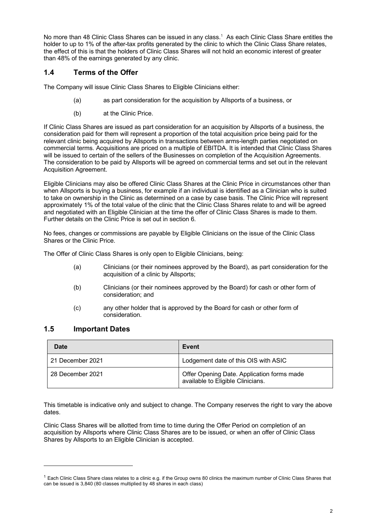No more than 48 Clinic Class Shares can be issued in any class.[1](#page-5-0) As each Clinic Class Share entitles the holder to up to 1% of the after-tax profits generated by the clinic to which the Clinic Class Share relates, the effect of this is that the holders of Clinic Class Shares will not hold an economic interest of greater than 48% of the earnings generated by any clinic.

#### <span id="page-5-1"></span>**1.4 Terms of the Offer**

The Company will issue Clinic Class Shares to Eligible Clinicians either:

- (a) as part consideration for the acquisition by Allsports of a business, or
- (b) at the Clinic Price.

If Clinic Class Shares are issued as part consideration for an acquisition by Allsports of a business, the consideration paid for them will represent a proportion of the total acquisition price being paid for the relevant clinic being acquired by Allsports in transactions between arms-length parties negotiated on commercial terms. Acquisitions are priced on a multiple of EBITDA. It is intended that Clinic Class Shares will be issued to certain of the sellers of the Businesses on completion of the Acquisition Agreements. The consideration to be paid by Allsports will be agreed on commercial terms and set out in the relevant Acquisition Agreement.

Eligible Clinicians may also be offered Clinic Class Shares at the Clinic Price in circumstances other than when Allsports is buying a business, for example if an individual is identified as a Clinician who is suited to take on ownership in the Clinic as determined on a case by case basis. The Clinic Price will represent approximately 1% of the total value of the clinic that the Clinic Class Shares relate to and will be agreed and negotiated with an Eligible Clinician at the time the offer of Clinic Class Shares is made to them. Further details on the Clinic Price is set out in section [6.](#page-23-0)

No fees, changes or commissions are payable by Eligible Clinicians on the issue of the Clinic Class Shares or the Clinic Price.

The Offer of Clinic Class Shares is only open to Eligible Clinicians, being:

- (a) Clinicians (or their nominees approved by the Board), as part consideration for the acquisition of a clinic by Allsports;
- (b) Clinicians (or their nominees approved by the Board) for cash or other form of consideration; and
- (c) any other holder that is approved by the Board for cash or other form of consideration.

#### **1.5 Important Dates**

| Date             | Event                                                                           |
|------------------|---------------------------------------------------------------------------------|
| 21 December 2021 | Lodgement date of this OIS with ASIC                                            |
| 28 December 2021 | Offer Opening Date. Application forms made<br>available to Eligible Clinicians. |

This timetable is indicative only and subject to change. The Company reserves the right to vary the above dates.

Clinic Class Shares will be allotted from time to time during the Offer Period on completion of an acquisition by Allsports where Clinic Class Shares are to be issued, or when an offer of Clinic Class Shares by Allsports to an Eligible Clinician is accepted.

<span id="page-5-0"></span> $1$  Each Clinic Class Share class relates to a clinic e.g. if the Group owns 80 clinics the maximum number of Clinic Class Shares that can be issued is 3,840 (80 classes multiplied by 48 shares in each class)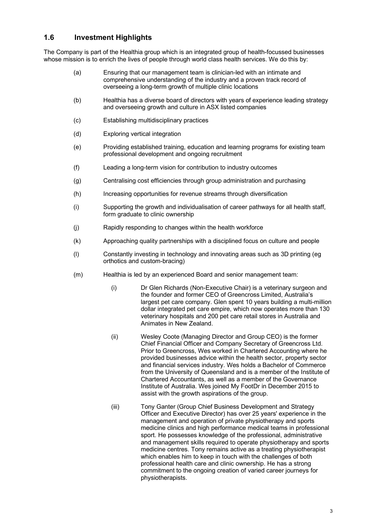#### **1.6 Investment Highlights**

The Company is part of the Healthia group which is an integrated group of health-focussed businesses whose mission is to enrich the lives of people through world class health services. We do this by:

- (a) Ensuring that our management team is clinician-led with an intimate and comprehensive understanding of the industry and a proven track record of overseeing a long-term growth of multiple clinic locations
- (b) Healthia has a diverse board of directors with years of experience leading strategy and overseeing growth and culture in ASX listed companies
- (c) Establishing multidisciplinary practices
- (d) Exploring vertical integration
- (e) Providing established training, education and learning programs for existing team professional development and ongoing recruitment
- (f) Leading a long-term vision for contribution to industry outcomes
- (g) Centralising cost efficiencies through group administration and purchasing
- (h) Increasing opportunities for revenue streams through diversification
- (i) Supporting the growth and individualisation of career pathways for all health staff, form graduate to clinic ownership
- (j) Rapidly responding to changes within the health workforce
- (k) Approaching quality partnerships with a disciplined focus on culture and people
- (l) Constantly investing in technology and innovating areas such as 3D printing (eg orthotics and custom-bracing)
- (m) Healthia is led by an experienced Board and senior management team:
	- (i) Dr Glen Richards (Non-Executive Chair) is a veterinary surgeon and the founder and former CEO of Greencross Limited, Australia's largest pet care company. Glen spent 10 years building a multi-million dollar integrated pet care empire, which now operates more than 130 veterinary hospitals and 200 pet care retail stores in Australia and Animates in New Zealand.
	- (ii) Wesley Coote (Managing Director and Group CEO) is the former Chief Financial Officer and Company Secretary of Greencross Ltd. Prior to Greencross, Wes worked in Chartered Accounting where he provided businesses advice within the health sector, property sector and financial services industry. Wes holds a Bachelor of Commerce from the University of Queensland and is a member of the Institute of Chartered Accountants, as well as a member of the Governance Institute of Australia. Wes joined My FootDr in December 2015 to assist with the growth aspirations of the group.
	- (iii) Tony Ganter (Group Chief Business Development and Strategy Officer and Executive Director) has over 25 years' experience in the management and operation of private physiotherapy and sports medicine clinics and high performance medical teams in professional sport. He possesses knowledge of the professional, administrative and management skills required to operate physiotherapy and sports medicine centres. Tony remains active as a treating physiotherapist which enables him to keep in touch with the challenges of both professional health care and clinic ownership. He has a strong commitment to the ongoing creation of varied career journeys for physiotherapists.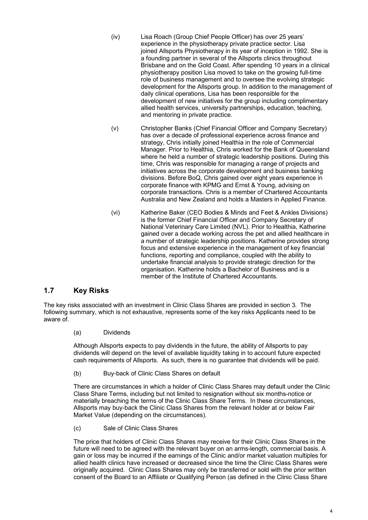- (iv) Lisa Roach (Group Chief People Officer) has over 25 years' experience in the physiotherapy private practice sector. Lisa joined [Allsports Physiotherapy](https://www.allsportsphysio.com.au/) in its year of inception in 1992. She is a founding partner in several of the Allsports clinics throughout Brisbane and on the Gold Coast. After spending 10 years in a clinical physiotherapy position Lisa moved to take on the growing full-time role of business management and to oversee the evolving strategic development for the Allsports group. In addition to the management of daily clinical operations, Lisa has been responsible for the development of new initiatives for the group including complimentary allied health services, university partnerships, education, teaching, and mentoring in private practice.
- (v) Christopher Banks (Chief Financial Officer and Company Secretary) has over a decade of professional experience across finance and strategy, Chris initially joined Healthia in the role of Commercial Manager. Prior to Healthia, Chris worked for the Bank of Queensland where he held a number of strategic leadership positions. During this time, Chris was responsible for managing a range of projects and initiatives across the corporate development and business banking divisions. Before BoQ, Chris gained over eight years experience in corporate finance with KPMG and Ernst & Young, advising on corporate transactions. Chris is a member of Chartered Accountants Australia and New Zealand and holds a Masters in Applied Finance.
- (vi) Katherine Baker (CEO Bodies & Minds and Feet & Ankles Divisions) is the former Chief Financial Officer and Company Secretary of National Veterinary Care Limited (NVL). Prior to Healthia, Katherine gained over a decade working across the pet and allied healthcare in a number of strategic leadership positions. Katherine provides strong focus and extensive experience in the management of key financial functions, reporting and compliance, coupled with the ability to undertake financial analysis to provide strategic direction for the organisation. Katherine holds a Bachelor of Business and is a member of the Institute of Chartered Accountants.

## **1.7 Key Risks**

The key risks associated with an investment in Clinic Class Shares are provided in section [3.](#page-12-0) The following summary, which is not exhaustive, represents some of the key risks Applicants need to be aware of.

(a) Dividends

Although Allsports expects to pay dividends in the future, the ability of Allsports to pay dividends will depend on the level of available liquidity taking in to account future expected cash requirements of Allsports. As such, there is no guarantee that dividends will be paid.

(b) Buy-back of Clinic Class Shares on default

There are circumstances in which a holder of Clinic Class Shares may default under the Clinic Class Share Terms, including but not limited to resignation without six months-notice or materially breaching the terms of the Clinic Class Share Terms. In these circumstances, Allsports may buy-back the Clinic Class Shares from the relevant holder at or below Fair Market Value (depending on the circumstances).

(c) Sale of Clinic Class Shares

The price that holders of Clinic Class Shares may receive for their Clinic Class Shares in the future will need to be agreed with the relevant buyer on an arms-length, commercial basis. A gain or loss may be incurred if the earnings of the Clinic and/or market valuation multiples for allied health clinics have increased or decreased since the time the Clinic Class Shares were originally acquired. Clinic Class Shares may only be transferred or sold with the prior written consent of the Board to an Affiliate or Qualifying Person (as defined in the Clinic Class Share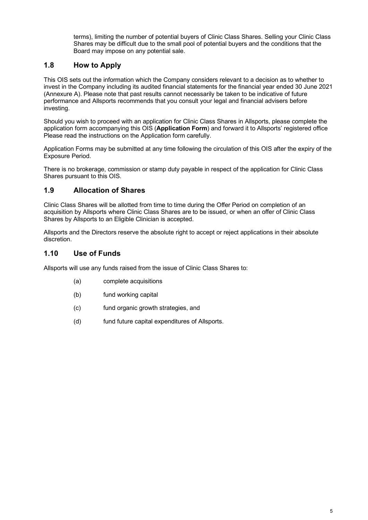terms), limiting the number of potential buyers of Clinic Class Shares. Selling your Clinic Class Shares may be difficult due to the small pool of potential buyers and the conditions that the Board may impose on any potential sale.

## **1.8 How to Apply**

This OIS sets out the information which the Company considers relevant to a decision as to whether to invest in the Company including its audited financial statements for the financial year ended 30 June 2021 [\(Annexure A\)](#page-27-0). Please note that past results cannot necessarily be taken to be indicative of future performance and Allsports recommends that you consult your legal and financial advisers before investing.

Should you wish to proceed with an application for Clinic Class Shares in Allsports, please complete the application form accompanying this OIS (**Application Form**) and forward it to Allsports' registered office Please read the instructions on the Application form carefully.

Application Forms may be submitted at any time following the circulation of this OIS after the expiry of the Exposure Period.

There is no brokerage, commission or stamp duty payable in respect of the application for Clinic Class Shares pursuant to this OIS.

#### **1.9 Allocation of Shares**

Clinic Class Shares will be allotted from time to time during the Offer Period on completion of an acquisition by Allsports where Clinic Class Shares are to be issued, or when an offer of Clinic Class Shares by Allsports to an Eligible Clinician is accepted.

Allsports and the Directors reserve the absolute right to accept or reject applications in their absolute discretion.

#### **1.10 Use of Funds**

Allsports will use any funds raised from the issue of Clinic Class Shares to:

- (a) complete acquisitions
- (b) fund working capital
- (c) fund organic growth strategies, and
- (d) fund future capital expenditures of Allsports.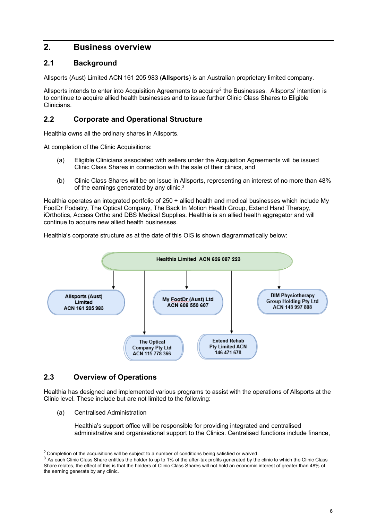## <span id="page-9-0"></span>**2. Business overview**

#### **2.1 Background**

Allsports (Aust) Limited ACN 161 205 983 (**Allsports**) is an Australian proprietary limited company.

Allsports intends to enter into Acquisition Agreements to acquire[2](#page-9-1) the Businesses. Allsports' intention is to continue to acquire allied health businesses and to issue further Clinic Class Shares to Eligible Clinicians.

#### **2.2 Corporate and Operational Structure**

Healthia owns all the ordinary shares in Allsports.

At completion of the Clinic Acquisitions:

- (a) Eligible Clinicians associated with sellers under the Acquisition Agreements will be issued Clinic Class Shares in connection with the sale of their clinics, and
- (b) Clinic Class Shares will be on issue in Allsports, representing an interest of no more than 48% of the earnings generated by any clinic. [3](#page-9-2)

Healthia operates an integrated portfolio of 250 + allied health and medical businesses which include My FootDr Podiatry, The Optical Company, The Back In Motion Health Group, Extend Hand Therapy, iOrthotics, Access Ortho and DBS Medical Supplies. Healthia is an allied health aggregator and will continue to acquire new allied health businesses.

Healthia's corporate structure as at the date of this OIS is shown diagrammatically below:



#### <span id="page-9-3"></span>**2.3 Overview of Operations**

Healthia has designed and implemented various programs to assist with the operations of Allsports at the Clinic level. These include but are not limited to the following:

(a) Centralised Administration

Healthia's support office will be responsible for providing integrated and centralised administrative and organisational support to the Clinics. Centralised functions include finance,

<span id="page-9-1"></span><sup>&</sup>lt;sup>2</sup> Completion of the acquisitions will be subject to a number of conditions being satisfied or waived.

<span id="page-9-2"></span> $3$  As each Clinic Class Share entitles the holder to up to 1% of the after-tax profits generated by the clinic to which the Clinic Class Share relates, the effect of this is that the holders of Clinic Class Shares will not hold an economic interest of greater than 48% of the earning generate by any clinic.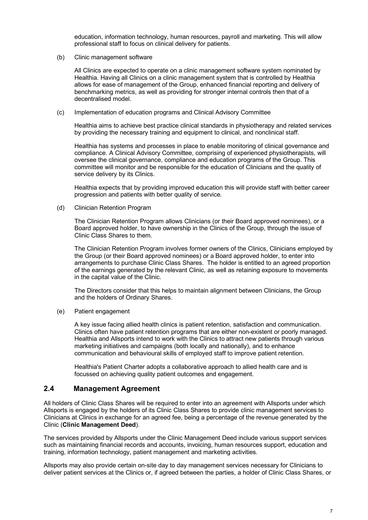education, information technology, human resources, payroll and marketing. This will allow professional staff to focus on clinical delivery for patients.

(b) Clinic management software

All Clinics are expected to operate on a clinic management software system nominated by Healthia. Having all Clinics on a clinic management system that is controlled by Healthia allows for ease of management of the Group, enhanced financial reporting and delivery of benchmarking metrics, as well as providing for stronger internal controls then that of a decentralised model.

<span id="page-10-0"></span>(c) Implementation of education programs and Clinical Advisory Committee

Healthia aims to achieve best practice clinical standards in physiotherapy and related services by providing the necessary training and equipment to clinical, and nonclinical staff.

Healthia has systems and processes in place to enable monitoring of clinical governance and compliance. A Clinical Advisory Committee, comprising of experienced physiotherapists, will oversee the clinical governance, compliance and education programs of the Group. This committee will monitor and be responsible for the education of Clinicians and the quality of service delivery by its Clinics.

Healthia expects that by providing improved education this will provide staff with better career progression and patients with better quality of service.

(d) Clinician Retention Program

The Clinician Retention Program allows Clinicians (or their Board approved nominees), or a Board approved holder, to have ownership in the Clinics of the Group, through the issue of Clinic Class Shares to them.

The Clinician Retention Program involves former owners of the Clinics, Clinicians employed by the Group (or their Board approved nominees) or a Board approved holder, to enter into arrangements to purchase Clinic Class Shares. The holder is entitled to an agreed proportion of the earnings generated by the relevant Clinic, as well as retaining exposure to movements in the capital value of the Clinic.

The Directors consider that this helps to maintain alignment between Clinicians, the Group and the holders of Ordinary Shares.

(e) Patient engagement

A key issue facing allied health clinics is patient retention, satisfaction and communication. Clinics often have patient retention programs that are either non-existent or poorly managed. Healthia and Allsports intend to work with the Clinics to attract new patients through various marketing initiatives and campaigns (both locally and nationally), and to enhance communication and behavioural skills of employed staff to improve patient retention.

Healthia's Patient Charter adopts a collaborative approach to allied health care and is focussed on achieving quality patient outcomes and engagement.

#### **2.4 Management Agreement**

All holders of Clinic Class Shares will be required to enter into an agreement with Allsports under which Allsports is engaged by the holders of its Clinic Class Shares to provide clinic management services to Clinicians at Clinics in exchange for an agreed fee, being a percentage of the revenue generated by the Clinic (**Clinic Management Deed**).

The services provided by Allsports under the Clinic Management Deed include various support services such as maintaining financial records and accounts, invoicing, human resources support, education and training, information technology, patient management and marketing activities.

Allsports may also provide certain on-site day to day management services necessary for Clinicians to deliver patient services at the Clinics or, if agreed between the parties, a holder of Clinic Class Shares, or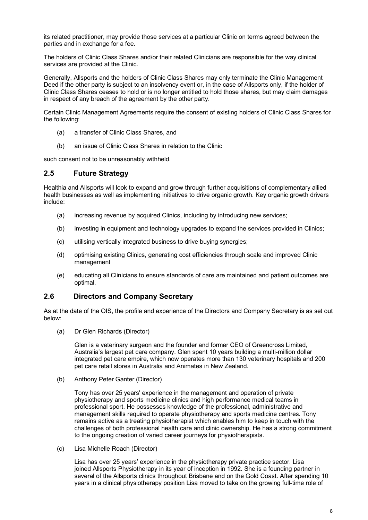its related practitioner, may provide those services at a particular Clinic on terms agreed between the parties and in exchange for a fee.

The holders of Clinic Class Shares and/or their related Clinicians are responsible for the way clinical services are provided at the Clinic.

Generally, Allsports and the holders of Clinic Class Shares may only terminate the Clinic Management Deed if the other party is subject to an insolvency event or, in the case of Allsports only, if the holder of Clinic Class Shares ceases to hold or is no longer entitled to hold those shares, but may claim damages in respect of any breach of the agreement by the other party.

Certain Clinic Management Agreements require the consent of existing holders of Clinic Class Shares for the following:

- (a) a transfer of Clinic Class Shares, and
- (b) an issue of Clinic Class Shares in relation to the Clinic

such consent not to be unreasonably withheld.

#### **2.5 Future Strategy**

Healthia and Allsports will look to expand and grow through further acquisitions of complementary allied health businesses as well as implementing initiatives to drive organic growth. Key organic growth drivers include:

- (a) increasing revenue by acquired Clinics, including by introducing new services;
- (b) investing in equipment and technology upgrades to expand the services provided in Clinics;
- (c) utilising vertically integrated business to drive buying synergies;
- (d) optimising existing Clinics, generating cost efficiencies through scale and improved Clinic management
- (e) educating all Clinicians to ensure standards of care are maintained and patient outcomes are optimal.

#### **2.6 Directors and Company Secretary**

As at the date of the OIS, the profile and experience of the Directors and Company Secretary is as set out below:

(a) Dr Glen Richards (Director)

Glen is a veterinary surgeon and the founder and former CEO of Greencross Limited, Australia's largest pet care company. Glen spent 10 years building a multi-million dollar integrated pet care empire, which now operates more than 130 veterinary hospitals and 200 pet care retail stores in Australia and Animates in New Zealand.

(b) Anthony Peter Ganter (Director)

Tony has over 25 years' experience in the management and operation of private physiotherapy and sports medicine clinics and high performance medical teams in professional sport. He possesses knowledge of the professional, administrative and management skills required to operate physiotherapy and sports medicine centres. Tony remains active as a treating physiotherapist which enables him to keep in touch with the challenges of both professional health care and clinic ownership. He has a strong commitment to the ongoing creation of varied career journeys for physiotherapists.

(c) Lisa Michelle Roach (Director)

Lisa has over 25 years' experience in the physiotherapy private practice sector. Lisa joined [Allsports Physiotherapy](https://www.allsportsphysio.com.au/) in its year of inception in 1992. She is a founding partner in several of the Allsports clinics throughout Brisbane and on the Gold Coast. After spending 10 years in a clinical physiotherapy position Lisa moved to take on the growing full-time role of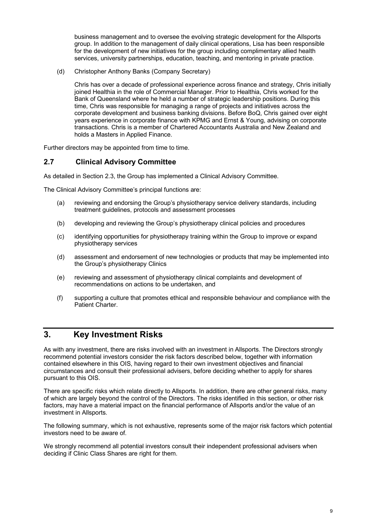business management and to oversee the evolving strategic development for the Allsports group. In addition to the management of daily clinical operations, Lisa has been responsible for the development of new initiatives for the group including complimentary allied health services, university partnerships, education, teaching, and mentoring in private practice.

(d) Christopher Anthony Banks (Company Secretary)

Chris has over a decade of professional experience across finance and strategy, Chris initially joined Healthia in the role of Commercial Manager. Prior to Healthia, Chris worked for the Bank of Queensland where he held a number of strategic leadership positions. During this time, Chris was responsible for managing a range of projects and initiatives across the corporate development and business banking divisions. Before BoQ, Chris gained over eight years experience in corporate finance with KPMG and Ernst & Young, advising on corporate transactions. Chris is a member of Chartered Accountants Australia and New Zealand and holds a Masters in Applied Finance.

Further directors may be appointed from time to time.

#### **2.7 Clinical Advisory Committee**

As detailed in Section [2.3,](#page-9-3) the Group has implemented a Clinical Advisory Committee.

The Clinical Advisory Committee's principal functions are:

- (a) reviewing and endorsing the Group's physiotherapy service delivery standards, including treatment guidelines, protocols and assessment processes
- (b) developing and reviewing the Group's physiotherapy clinical policies and procedures
- (c) identifying opportunities for physiotherapy training within the Group to improve or expand physiotherapy services
- (d) assessment and endorsement of new technologies or products that may be implemented into the Group's physiotherapy Clinics
- (e) reviewing and assessment of physiotherapy clinical complaints and development of recommendations on actions to be undertaken, and
- (f) supporting a culture that promotes ethical and responsible behaviour and compliance with the Patient Charter.

## <span id="page-12-0"></span>**3. Key Investment Risks**

As with any investment, there are risks involved with an investment in Allsports. The Directors strongly recommend potential investors consider the risk factors described below, together with information contained elsewhere in this OIS, having regard to their own investment objectives and financial circumstances and consult their professional advisers, before deciding whether to apply for shares pursuant to this OIS.

There are specific risks which relate directly to Allsports. In addition, there are other general risks, many of which are largely beyond the control of the Directors. The risks identified in this section, or other risk factors, may have a material impact on the financial performance of Allsports and/or the value of an investment in Allsports.

The following summary, which is not exhaustive, represents some of the major risk factors which potential investors need to be aware of.

We strongly recommend all potential investors consult their independent professional advisers when deciding if Clinic Class Shares are right for them.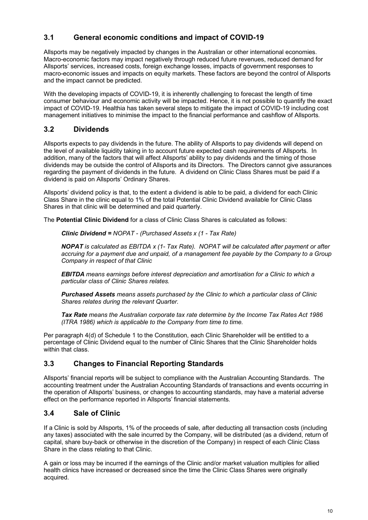## **3.1 General economic conditions and impact of COVID-19**

Allsports may be negatively impacted by changes in the Australian or other international economies. Macro-economic factors may impact negatively through reduced future revenues, reduced demand for Allsports' services, increased costs, foreign exchange losses, impacts of government responses to macro-economic issues and impacts on equity markets. These factors are beyond the control of Allsports and the impact cannot be predicted.

With the developing impacts of COVID-19, it is inherently challenging to forecast the length of time consumer behaviour and economic activity will be impacted. Hence, it is not possible to quantify the exact impact of COVID-19. Healthia has taken several steps to mitigate the impact of COVID-19 including cost management initiatives to minimise the impact to the financial performance and cashflow of Allsports.

## <span id="page-13-0"></span>**3.2 Dividends**

Allsports expects to pay dividends in the future. The ability of Allsports to pay dividends will depend on the level of available liquidity taking in to account future expected cash requirements of Allsports. In addition, many of the factors that will affect Allsports' ability to pay dividends and the timing of those dividends may be outside the control of Allsports and its Directors. The Directors cannot give assurances regarding the payment of dividends in the future. A dividend on Clinic Class Shares must be paid if a dividend is paid on Allsports' Ordinary Shares.

Allsports' dividend policy is that, to the extent a dividend is able to be paid, a dividend for each Clinic Class Share in the clinic equal to 1% of the total Potential Clinic Dividend available for Clinic Class Shares in that clinic will be determined and paid quarterly.

The **Potential Clinic Dividend** for a class of Clinic Class Shares is calculated as follows:

*Clinic Dividend = NOPAT - (Purchased Assets x (1 - Tax Rate)*

*NOPAT is calculated as EBITDA x (1- Tax Rate). NOPAT will be calculated after payment or after accruing for a payment due and unpaid, of a management fee payable by the Company to a Group Company in respect of that Clinic*

*EBITDA means earnings before interest depreciation and amortisation for a Clinic to which a particular class of Clinic Shares relates.*

*Purchased Assets means assets purchased by the Clinic to which a particular class of Clinic Shares relates during the relevant Quarter.*

*Tax Rate means the Australian corporate tax rate determine by the Income Tax Rates Act 1986 (ITRA 1986) which is applicable to the Company from time to time.*

Per paragraph 4(d) of Schedule 1 to the Constitution, each Clinic Shareholder will be entitled to a percentage of Clinic Dividend equal to the number of Clinic Shares that the Clinic Shareholder holds within that class.

## **3.3 Changes to Financial Reporting Standards**

Allsports' financial reports will be subject to compliance with the Australian Accounting Standards. The accounting treatment under the Australian Accounting Standards of transactions and events occurring in the operation of Allsports' business, or changes to accounting standards, may have a material adverse effect on the performance reported in Allsports' financial statements.

## **3.4 Sale of Clinic**

If a Clinic is sold by Allsports, 1% of the proceeds of sale, after deducting all transaction costs (including any taxes) associated with the sale incurred by the Company, will be distributed (as a dividend, return of capital, share buy-back or otherwise in the discretion of the Company) in respect of each Clinic Class Share in the class relating to that Clinic.

A gain or loss may be incurred if the earnings of the Clinic and/or market valuation multiples for allied health clinics have increased or decreased since the time the Clinic Class Shares were originally acquired.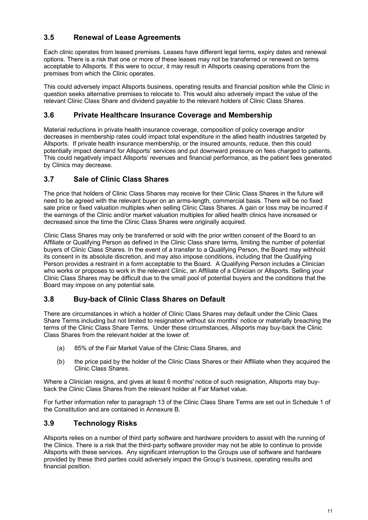## **3.5 Renewal of Lease Agreements**

Each clinic operates from leased premises. Leases have different legal terms, expiry dates and renewal options. There is a risk that one or more of these leases may not be transferred or renewed on terms acceptable to Allsports. If this were to occur, it may result in Allsports ceasing operations from the premises from which the Clinic operates.

This could adversely impact Allsports business, operating results and financial position while the Clinic in question seeks alternative premises to relocate to. This would also adversely impact the value of the relevant Clinic Class Share and dividend payable to the relevant holders of Clinic Class Shares.

#### **3.6 Private Healthcare Insurance Coverage and Membership**

Material reductions in private health insurance coverage, composition of policy coverage and/or decreases in membership rates could impact total expenditure in the allied health industries targeted by Allsports. If private health insurance membership, or the insured amounts, reduce, then this could potentially impact demand for Allsports' services and put downward pressure on fees charged to patients. This could negatively impact Allsports' revenues and financial performance, as the patient fees generated by Clinics may decrease.

## **3.7 Sale of Clinic Class Shares**

The price that holders of Clinic Class Shares may receive for their Clinic Class Shares in the future will need to be agreed with the relevant buyer on an arms-length, commercial basis. There will be no fixed sale price or fixed valuation multiples when selling Clinic Class Shares. A gain or loss may be incurred if the earnings of the Clinic and/or market valuation multiples for allied health clinics have increased or decreased since the time the Clinic Class Shares were originally acquired.

Clinic Class Shares may only be transferred or sold with the prior written consent of the Board to an Affiliate or Qualifying Person as defined in the Clinic Class share terms, limiting the number of potential buyers of Clinic Class Shares. In the event of a transfer to a Qualifying Person, the Board may withhold its consent in its absolute discretion, and may also impose conditions, including that the Qualifying Person provides a restraint in a form acceptable to the Board. A Qualifying Person includes a Clinician who works or proposes to work in the relevant Clinic, an Affiliate of a Clinician or Allsports. Selling your Clinic Class Shares may be difficult due to the small pool of potential buyers and the conditions that the Board may impose on any potential sale.

#### <span id="page-14-0"></span>**3.8 Buy-back of Clinic Class Shares on Default**

There are circumstances in which a holder of Clinic Class Shares may default under the Clinic Class Share Terms including but not limited to resignation without six months' notice or materially breaching the terms of the Clinic Class Share Terms. Under these circumstances, Allsports may buy-back the Clinic Class Shares from the relevant holder at the lower of:

- (a) 85% of the Fair Market Value of the Clinic Class Shares, and
- (b) the price paid by the holder of the Clinic Class Shares or their Affiliate when they acquired the Clinic Class Shares.

Where a Clinician resigns, and gives at least 6 months' notice of such resignation, Allsports may buyback the Clinic Class Shares from the relevant holder at Fair Market value.

For further information refer to paragraph 13 of the Clinic Class Share Terms are set out in Schedule 1 of the Constitution and are contained in [Annexure B.](#page-28-0)

#### **3.9 Technology Risks**

Allsports relies on a number of third party software and hardware providers to assist with the running of the Clinics. There is a risk that the third-party software provider may not be able to continue to provide Allsports with these services. Any significant interruption to the Groups use of software and hardware provided by these third parties could adversely impact the Group's business, operating results and financial position.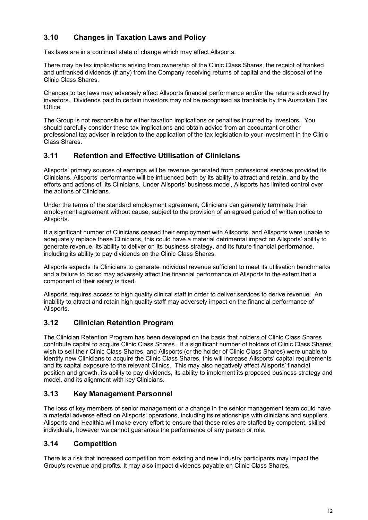## **3.10 Changes in Taxation Laws and Policy**

Tax laws are in a continual state of change which may affect Allsports.

There may be tax implications arising from ownership of the Clinic Class Shares, the receipt of franked and unfranked dividends (if any) from the Company receiving returns of capital and the disposal of the Clinic Class Shares.

Changes to tax laws may adversely affect Allsports financial performance and/or the returns achieved by investors. Dividends paid to certain investors may not be recognised as frankable by the Australian Tax Office.

The Group is not responsible for either taxation implications or penalties incurred by investors. You should carefully consider these tax implications and obtain advice from an accountant or other professional tax adviser in relation to the application of the tax legislation to your investment in the Clinic Class Shares.

#### **3.11 Retention and Effective Utilisation of Clinicians**

Allsports' primary sources of earnings will be revenue generated from professional services provided its Clinicians. Allsports' performance will be influenced both by its ability to attract and retain, and by the efforts and actions of, its Clinicians. Under Allsports' business model, Allsports has limited control over the actions of Clinicians.

Under the terms of the standard employment agreement, Clinicians can generally terminate their employment agreement without cause, subject to the provision of an agreed period of written notice to Allsports.

If a significant number of Clinicians ceased their employment with Allsports, and Allsports were unable to adequately replace these Clinicians, this could have a material detrimental impact on Allsports' ability to generate revenue, its ability to deliver on its business strategy, and its future financial performance, including its ability to pay dividends on the Clinic Class Shares.

Allsports expects its Clinicians to generate individual revenue sufficient to meet its utilisation benchmarks and a failure to do so may adversely affect the financial performance of Allsports to the extent that a component of their salary is fixed.

Allsports requires access to high quality clinical staff in order to deliver services to derive revenue. An inability to attract and retain high quality staff may adversely impact on the financial performance of Allsports.

## **3.12 Clinician Retention Program**

The Clinician Retention Program has been developed on the basis that holders of Clinic Class Shares contribute capital to acquire Clinic Class Shares. If a significant number of holders of Clinic Class Shares wish to sell their Clinic Class Shares, and Allsports (or the holder of Clinic Class Shares) were unable to identify new Clinicians to acquire the Clinic Class Shares, this will increase Allsports' capital requirements and its capital exposure to the relevant Clinics. This may also negatively affect Allsports' financial position and growth, its ability to pay dividends, its ability to implement its proposed business strategy and model, and its alignment with key Clinicians.

## **3.13 Key Management Personnel**

The loss of key members of senior management or a change in the senior management team could have a material adverse effect on Allsports' operations, including its relationships with clinicians and suppliers. Allsports and Healthia will make every effort to ensure that these roles are staffed by competent, skilled individuals, however we cannot guarantee the performance of any person or role.

#### **3.14 Competition**

There is a risk that increased competition from existing and new industry participants may impact the Group's revenue and profits. It may also impact dividends payable on Clinic Class Shares.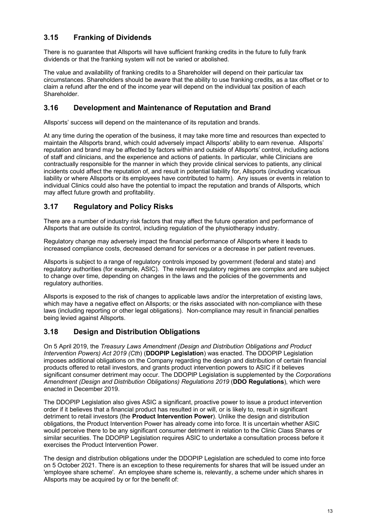## **3.15 Franking of Dividends**

There is no guarantee that Allsports will have sufficient franking credits in the future to fully frank dividends or that the franking system will not be varied or abolished.

The value and availability of franking credits to a Shareholder will depend on their particular tax circumstances. Shareholders should be aware that the ability to use franking credits, as a tax offset or to claim a refund after the end of the income year will depend on the individual tax position of each Shareholder.

#### **3.16 Development and Maintenance of Reputation and Brand**

Allsports' success will depend on the maintenance of its reputation and brands.

At any time during the operation of the business, it may take more time and resources than expected to maintain the Allsports brand, which could adversely impact Allsports' ability to earn revenue. Allsports' reputation and brand may be affected by factors within and outside of Allsports' control, including actions of staff and clinicians, and the experience and actions of patients. In particular, while Clinicians are contractually responsible for the manner in which they provide clinical services to patients, any clinical incidents could affect the reputation of, and result in potential liability for, Allsports (including vicarious liability or where Allsports or its employees have contributed to harm). Any issues or events in relation to individual Clinics could also have the potential to impact the reputation and brands of Allsports, which may affect future growth and profitability.

#### **3.17 Regulatory and Policy Risks**

There are a number of industry risk factors that may affect the future operation and performance of Allsports that are outside its control, including regulation of the physiotherapy industry.

Regulatory change may adversely impact the financial performance of Allsports where it leads to increased compliance costs, decreased demand for services or a decrease in per patient revenues.

Allsports is subject to a range of regulatory controls imposed by government (federal and state) and regulatory authorities (for example, ASIC). The relevant regulatory regimes are complex and are subject to change over time, depending on changes in the laws and the policies of the governments and regulatory authorities.

Allsports is exposed to the risk of changes to applicable laws and/or the interpretation of existing laws, which may have a negative effect on Allsports; or the risks associated with non-compliance with these laws (including reporting or other legal obligations). Non-compliance may result in financial penalties being levied against Allsports.

#### **3.18 Design and Distribution Obligations**

On 5 April 2019, the *Treasury Laws Amendment (Design and Distribution Obligations and Product Intervention Powers) Act 2019 (Cth*) (**DDOPIP Legislation**) was enacted. The DDOPIP Legislation imposes additional obligations on the Company regarding the design and distribution of certain financial products offered to retail investors, and grants product intervention powers to ASIC if it believes significant consumer detriment may occur. The DDOPIP Legislation is supplemented by the *Corporations Amendment (Design and Distribution Obligations) Regulations 2019* (**DDO Regulations**), which were enacted in December 2019.

The DDOPIP Legislation also gives ASIC a significant, proactive power to issue a product intervention order if it believes that a financial product has resulted in or will, or is likely to, result in significant detriment to retail investors (the **Product Intervention Power**). Unlike the design and distribution obligations, the Product Intervention Power has already come into force. It is uncertain whether ASIC would perceive there to be any significant consumer detriment in relation to the Clinic Class Shares or similar securities. The DDOPIP Legislation requires ASIC to undertake a consultation process before it exercises the Product Intervention Power.

The design and distribution obligations under the DDOPIP Legislation are scheduled to come into force on 5 October 2021. There is an exception to these requirements for shares that will be issued under an 'employee share scheme'. An employee share scheme is, relevantly, a scheme under which shares in Allsports may be acquired by or for the benefit of: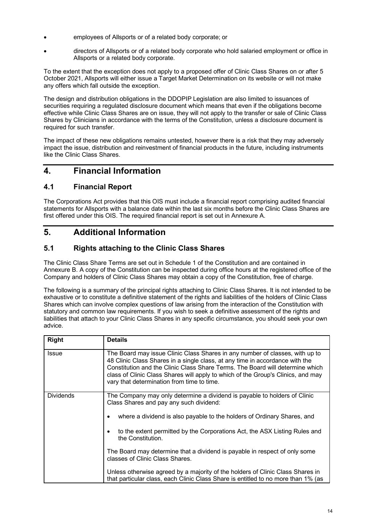- employees of Allsports or of a related body corporate; or
- directors of Allsports or of a related body corporate who hold salaried employment or office in Allsports or a related body corporate.

To the extent that the exception does not apply to a proposed offer of Clinic Class Shares on or after 5 October 2021, Allsports will either issue a Target Market Determination on its website or will not make any offers which fall outside the exception.

The design and distribution obligations in the DDOPIP Legislation are also limited to issuances of securities requiring a regulated disclosure document which means that even if the obligations become effective while Clinic Class Shares are on issue, they will not apply to the transfer or sale of Clinic Class Shares by Clinicians in accordance with the terms of the Constitution, unless a disclosure document is required for such transfer.

The impact of these new obligations remains untested, however there is a risk that they may adversely impact the issue, distribution and reinvestment of financial products in the future, including instruments like the Clinic Class Shares.

## <span id="page-17-0"></span>**4. Financial Information**

## **4.1 Financial Report**

The Corporations Act provides that this OIS must include a financial report comprising audited financial statements for Allsports with a balance date within the last six months before the Clinic Class Shares are first offered under this OIS. The required financial report is set out in [Annexure A.](#page-27-0)

## <span id="page-17-1"></span>**5. Additional Information**

## **5.1 Rights attaching to the Clinic Class Shares**

The Clinic Class Share Terms are set out in Schedule 1 of the Constitution and are contained in [Annexure B.](#page-28-0) A copy of the Constitution can be inspected during office hours at the registered office of the Company and holders of Clinic Class Shares may obtain a copy of the Constitution, free of charge.

The following is a summary of the principal rights attaching to Clinic Class Shares. It is not intended to be exhaustive or to constitute a definitive statement of the rights and liabilities of the holders of Clinic Class Shares which can involve complex questions of law arising from the interaction of the Constitution with statutory and common law requirements. If you wish to seek a definitive assessment of the rights and liabilities that attach to your Clinic Class Shares in any specific circumstance, you should seek your own advice.

| <b>Right</b>     | <b>Details</b>                                                                                                                                                                                                                                                                                                                                                                  |
|------------------|---------------------------------------------------------------------------------------------------------------------------------------------------------------------------------------------------------------------------------------------------------------------------------------------------------------------------------------------------------------------------------|
| Issue            | The Board may issue Clinic Class Shares in any number of classes, with up to<br>48 Clinic Class Shares in a single class, at any time in accordance with the<br>Constitution and the Clinic Class Share Terms. The Board will determine which<br>class of Clinic Class Shares will apply to which of the Group's Clinics, and may<br>vary that determination from time to time. |
| <b>Dividends</b> | The Company may only determine a dividend is payable to holders of Clinic<br>Class Shares and pay any such dividend:                                                                                                                                                                                                                                                            |
|                  | where a dividend is also payable to the holders of Ordinary Shares, and                                                                                                                                                                                                                                                                                                         |
|                  | to the extent permitted by the Corporations Act, the ASX Listing Rules and<br>the Constitution.                                                                                                                                                                                                                                                                                 |
|                  | The Board may determine that a dividend is payable in respect of only some<br>classes of Clinic Class Shares.                                                                                                                                                                                                                                                                   |
|                  | Unless otherwise agreed by a majority of the holders of Clinic Class Shares in<br>that particular class, each Clinic Class Share is entitled to no more than 1% (as                                                                                                                                                                                                             |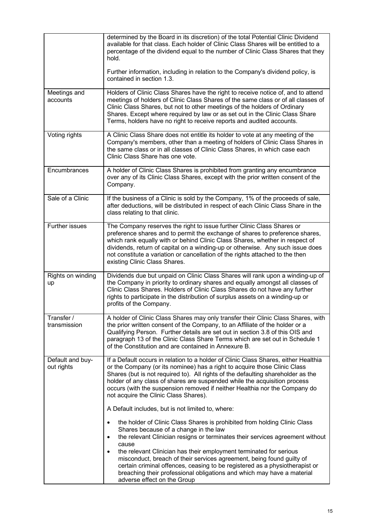|                                | determined by the Board in its discretion) of the total Potential Clinic Dividend<br>available for that class. Each holder of Clinic Class Shares will be entitled to a<br>percentage of the dividend equal to the number of Clinic Class Shares that they<br>hold.<br>Further information, including in relation to the Company's dividend policy, is<br>contained in section 1.3.                                                                      |
|--------------------------------|----------------------------------------------------------------------------------------------------------------------------------------------------------------------------------------------------------------------------------------------------------------------------------------------------------------------------------------------------------------------------------------------------------------------------------------------------------|
| Meetings and<br>accounts       | Holders of Clinic Class Shares have the right to receive notice of, and to attend<br>meetings of holders of Clinic Class Shares of the same class or of all classes of<br>Clinic Class Shares, but not to other meetings of the holders of Ordinary<br>Shares. Except where required by law or as set out in the Clinic Class Share<br>Terms, holders have no right to receive reports and audited accounts.                                             |
| Voting rights                  | A Clinic Class Share does not entitle its holder to vote at any meeting of the<br>Company's members, other than a meeting of holders of Clinic Class Shares in<br>the same class or in all classes of Clinic Class Shares, in which case each<br>Clinic Class Share has one vote.                                                                                                                                                                        |
| Encumbrances                   | A holder of Clinic Class Shares is prohibited from granting any encumbrance<br>over any of its Clinic Class Shares, except with the prior written consent of the<br>Company.                                                                                                                                                                                                                                                                             |
| Sale of a Clinic               | If the business of a Clinic is sold by the Company, 1% of the proceeds of sale,<br>after deductions, will be distributed in respect of each Clinic Class Share in the<br>class relating to that clinic.                                                                                                                                                                                                                                                  |
| <b>Further issues</b>          | The Company reserves the right to issue further Clinic Class Shares or<br>preference shares and to permit the exchange of shares to preference shares,<br>which rank equally with or behind Clinic Class Shares, whether in respect of<br>dividends, return of capital on a winding-up or otherwise. Any such issue does<br>not constitute a variation or cancellation of the rights attached to the then<br>existing Clinic Class Shares.               |
| Rights on winding<br>up        | Dividends due but unpaid on Clinic Class Shares will rank upon a winding-up of<br>the Company in priority to ordinary shares and equally amongst all classes of<br>Clinic Class Shares. Holders of Clinic Class Shares do not have any further<br>rights to participate in the distribution of surplus assets on a winding-up or<br>profits of the Company.                                                                                              |
| Transfer /<br>transmission     | A holder of Clinic Class Shares may only transfer their Clinic Class Shares, with<br>the prior written consent of the Company, to an Affiliate of the holder or a<br>Qualifying Person. Further details are set out in section 3.8 of this OIS and<br>paragraph 13 of the Clinic Class Share Terms which are set out in Schedule 1<br>of the Constitution and are contained in Annexure B.                                                               |
| Default and buy-<br>out rights | If a Default occurs in relation to a holder of Clinic Class Shares, either Healthia<br>or the Company (or its nominee) has a right to acquire those Clinic Class<br>Shares (but is not required to). All rights of the defaulting shareholder as the<br>holder of any class of shares are suspended while the acquisition process<br>occurs (with the suspension removed if neither Healthia nor the Company do<br>not acquire the Clinic Class Shares). |
|                                | A Default includes, but is not limited to, where:<br>the holder of Clinic Class Shares is prohibited from holding Clinic Class                                                                                                                                                                                                                                                                                                                           |
|                                | Shares because of a change in the law<br>the relevant Clinician resigns or terminates their services agreement without<br>cause                                                                                                                                                                                                                                                                                                                          |
|                                | the relevant Clinician has their employment terminated for serious<br>misconduct, breach of their services agreement, being found guilty of<br>certain criminal offences, ceasing to be registered as a physiotherapist or<br>breaching their professional obligations and which may have a material<br>adverse effect on the Group                                                                                                                      |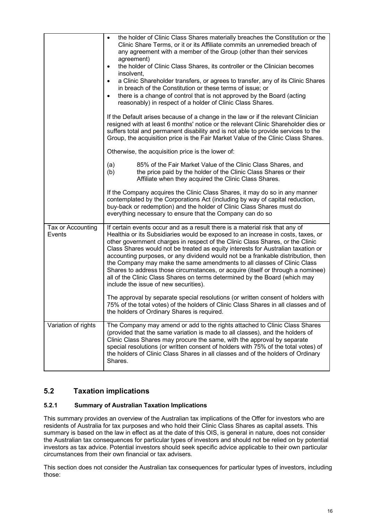|                             | the holder of Clinic Class Shares materially breaches the Constitution or the<br>$\bullet$<br>Clinic Share Terms, or it or its Affiliate commits an unremedied breach of<br>any agreement with a member of the Group (other than their services<br>agreement)<br>the holder of Clinic Class Shares, its controller or the Clinician becomes<br>$\bullet$<br>insolvent,<br>a Clinic Shareholder transfers, or agrees to transfer, any of its Clinic Shares<br>$\bullet$<br>in breach of the Constitution or these terms of issue; or<br>there is a change of control that is not approved by the Board (acting<br>$\bullet$<br>reasonably) in respect of a holder of Clinic Class Shares.<br>If the Default arises because of a change in the law or if the relevant Clinician<br>resigned with at least 6 months' notice or the relevant Clinic Shareholder dies or<br>suffers total and permanent disability and is not able to provide services to the<br>Group, the acquisition price is the Fair Market Value of the Clinic Class Shares.<br>Otherwise, the acquisition price is the lower of: |
|-----------------------------|----------------------------------------------------------------------------------------------------------------------------------------------------------------------------------------------------------------------------------------------------------------------------------------------------------------------------------------------------------------------------------------------------------------------------------------------------------------------------------------------------------------------------------------------------------------------------------------------------------------------------------------------------------------------------------------------------------------------------------------------------------------------------------------------------------------------------------------------------------------------------------------------------------------------------------------------------------------------------------------------------------------------------------------------------------------------------------------------------|
|                             | (a)<br>85% of the Fair Market Value of the Clinic Class Shares, and<br>(b)<br>the price paid by the holder of the Clinic Class Shares or their<br>Affiliate when they acquired the Clinic Class Shares.<br>If the Company acquires the Clinic Class Shares, it may do so in any manner                                                                                                                                                                                                                                                                                                                                                                                                                                                                                                                                                                                                                                                                                                                                                                                                             |
|                             | contemplated by the Corporations Act (including by way of capital reduction,<br>buy-back or redemption) and the holder of Clinic Class Shares must do<br>everything necessary to ensure that the Company can do so                                                                                                                                                                                                                                                                                                                                                                                                                                                                                                                                                                                                                                                                                                                                                                                                                                                                                 |
| Tax or Accounting<br>Events | If certain events occur and as a result there is a material risk that any of<br>Healthia or its Subsidiaries would be exposed to an increase in costs, taxes, or<br>other government charges in respect of the Clinic Class Shares, or the Clinic<br>Class Shares would not be treated as equity interests for Australian taxation or<br>accounting purposes, or any dividend would not be a frankable distribution, then<br>the Company may make the same amendments to all classes of Clinic Class<br>Shares to address those circumstances, or acquire (itself or through a nominee)<br>all of the Clinic Class Shares on terms determined by the Board (which may<br>include the issue of new securities).<br>The approval by separate special resolutions (or written consent of holders with<br>75% of the total votes) of the holders of Clinic Class Shares in all classes and of                                                                                                                                                                                                          |
|                             | the holders of Ordinary Shares is required.                                                                                                                                                                                                                                                                                                                                                                                                                                                                                                                                                                                                                                                                                                                                                                                                                                                                                                                                                                                                                                                        |
| Variation of rights         | The Company may amend or add to the rights attached to Clinic Class Shares<br>(provided that the same variation is made to all classes), and the holders of<br>Clinic Class Shares may procure the same, with the approval by separate<br>special resolutions (or written consent of holders with 75% of the total votes) of<br>the holders of Clinic Class Shares in all classes and of the holders of Ordinary<br>Shares.                                                                                                                                                                                                                                                                                                                                                                                                                                                                                                                                                                                                                                                                        |

## **5.2 Taxation implications**

#### **5.2.1 Summary of Australian Taxation Implications**

This summary provides an overview of the Australian tax implications of the Offer for investors who are residents of Australia for tax purposes and who hold their Clinic Class Shares as capital assets. This summary is based on the law in effect as at the date of this OIS, is general in nature, does not consider the Australian tax consequences for particular types of investors and should not be relied on by potential investors as tax advice. Potential investors should seek specific advice applicable to their own particular circumstances from their own financial or tax advisers.

This section does not consider the Australian tax consequences for particular types of investors, including those: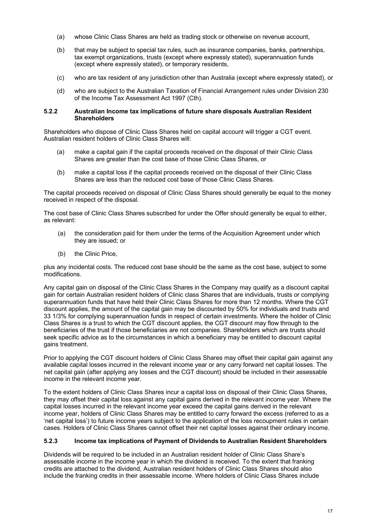- (a) whose Clinic Class Shares are held as trading stock or otherwise on revenue account,
- (b) that may be subject to special tax rules, such as insurance companies, banks, partnerships, tax exempt organizations, trusts (except where expressly stated), superannuation funds (except where expressly stated), or temporary residents,
- (c) who are tax resident of any jurisdiction other than Australia (except where expressly stated), or
- (d) who are subject to the Australian Taxation of Financial Arrangement rules under Division 230 of the Income Tax Assessment Act 1997 (Cth).

#### **5.2.2 Australian Income tax implications of future share disposals Australian Resident Shareholders**

Shareholders who dispose of Clinic Class Shares held on capital account will trigger a CGT event. Australian resident holders of Clinic Class Shares will:

- (a) make a capital gain if the capital proceeds received on the disposal of their Clinic Class Shares are greater than the cost base of those Clinic Class Shares, or
- (b) make a capital loss if the capital proceeds received on the disposal of their Clinic Class Shares are less than the reduced cost base of those Clinic Class Shares.

The capital proceeds received on disposal of Clinic Class Shares should generally be equal to the money received in respect of the disposal.

The cost base of Clinic Class Shares subscribed for under the Offer should generally be equal to either, as relevant:

- (a) the consideration paid for them under the terms of the Acquisition Agreement under which they are issued; or
- (b) the Clinic Price,

plus any incidental costs. The reduced cost base should be the same as the cost base, subject to some modifications.

Any capital gain on disposal of the Clinic Class Shares in the Company may qualify as a discount capital gain for certain Australian resident holders of Clinic class Shares that are individuals, trusts or complying superannuation funds that have held their Clinic Class Shares for more than 12 months. Where the CGT discount applies, the amount of the capital gain may be discounted by 50% for individuals and trusts and 33 1/3% for complying superannuation funds in respect of certain investments. Where the holder of Clinic Class Shares is a trust to which the CGT discount applies, the CGT discount may flow through to the beneficiaries of the trust if those beneficiaries are not companies. Shareholders which are trusts should seek specific advice as to the circumstances in which a beneficiary may be entitled to discount capital gains treatment.

Prior to applying the CGT discount holders of Clinic Class Shares may offset their capital gain against any available capital losses incurred in the relevant income year or any carry forward net capital losses. The net capital gain (after applying any losses and the CGT discount) should be included in their assessable income in the relevant income year.

To the extent holders of Clinic Class Shares incur a capital loss on disposal of their Clinic Class Shares, they may offset their capital loss against any capital gains derived in the relevant income year. Where the capital losses incurred in the relevant income year exceed the capital gains derived in the relevant income year, holders of Clinic Class Shares may be entitled to carry forward the excess (referred to as a 'net capital loss') to future income years subject to the application of the loss recoupment rules in certain cases. Holders of Clinic Class Shares cannot offset their net capital losses against their ordinary income.

#### **5.2.3 Income tax implications of Payment of Dividends to Australian Resident Shareholders**

Dividends will be required to be included in an Australian resident holder of Clinic Class Share's assessable income in the income year in which the dividend is received. To the extent that franking credits are attached to the dividend, Australian resident holders of Clinic Class Shares should also include the franking credits in their assessable income. Where holders of Clinic Class Shares include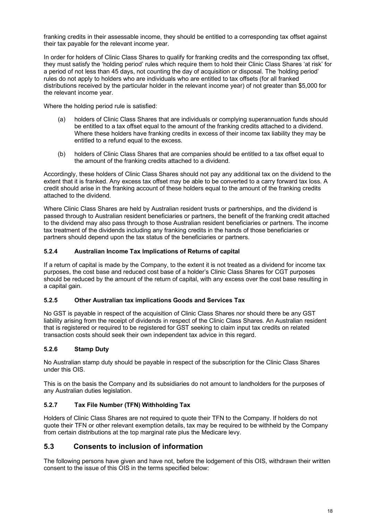franking credits in their assessable income, they should be entitled to a corresponding tax offset against their tax payable for the relevant income year.

In order for holders of Clinic Class Shares to qualify for franking credits and the corresponding tax offset, they must satisfy the 'holding period' rules which require them to hold their Clinic Class Shares 'at risk' for a period of not less than 45 days, not counting the day of acquisition or disposal. The 'holding period' rules do not apply to holders who are individuals who are entitled to tax offsets (for all franked distributions received by the particular holder in the relevant income year) of not greater than \$5,000 for the relevant income year.

Where the holding period rule is satisfied:

- (a) holders of Clinic Class Shares that are individuals or complying superannuation funds should be entitled to a tax offset equal to the amount of the franking credits attached to a dividend. Where these holders have franking credits in excess of their income tax liability they may be entitled to a refund equal to the excess.
- (b) holders of Clinic Class Shares that are companies should be entitled to a tax offset equal to the amount of the franking credits attached to a dividend.

Accordingly, these holders of Clinic Class Shares should not pay any additional tax on the dividend to the extent that it is franked. Any excess tax offset may be able to be converted to a carry forward tax loss. A credit should arise in the franking account of these holders equal to the amount of the franking credits attached to the dividend.

Where Clinic Class Shares are held by Australian resident trusts or partnerships, and the dividend is passed through to Australian resident beneficiaries or partners, the benefit of the franking credit attached to the dividend may also pass through to those Australian resident beneficiaries or partners. The income tax treatment of the dividends including any franking credits in the hands of those beneficiaries or partners should depend upon the tax status of the beneficiaries or partners.

#### **5.2.4 Australian Income Tax Implications of Returns of capital**

If a return of capital is made by the Company, to the extent it is not treated as a dividend for income tax purposes, the cost base and reduced cost base of a holder's Clinic Class Shares for CGT purposes should be reduced by the amount of the return of capital, with any excess over the cost base resulting in a capital gain.

#### **5.2.5 Other Australian tax implications Goods and Services Tax**

No GST is payable in respect of the acquisition of Clinic Class Shares nor should there be any GST liability arising from the receipt of dividends in respect of the Clinic Class Shares. An Australian resident that is registered or required to be registered for GST seeking to claim input tax credits on related transaction costs should seek their own independent tax advice in this regard.

#### **5.2.6 Stamp Duty**

No Australian stamp duty should be payable in respect of the subscription for the Clinic Class Shares under this OIS.

This is on the basis the Company and its subsidiaries do not amount to landholders for the purposes of any Australian duties legislation.

#### **5.2.7 Tax File Number (TFN) Withholding Tax**

Holders of Clinic Class Shares are not required to quote their TFN to the Company. If holders do not quote their TFN or other relevant exemption details, tax may be required to be withheld by the Company from certain distributions at the top marginal rate plus the Medicare levy.

#### **5.3 Consents to inclusion of information**

The following persons have given and have not, before the lodgement of this OIS, withdrawn their written consent to the issue of this OIS in the terms specified below: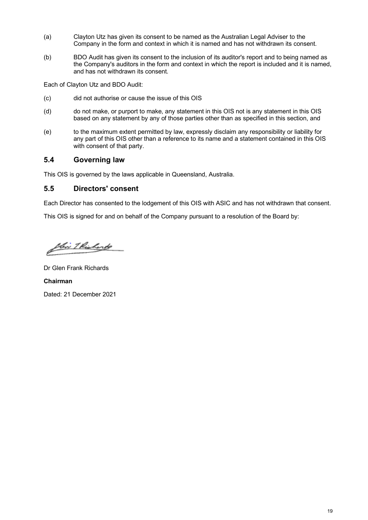- (a) Clayton Utz has given its consent to be named as the Australian Legal Adviser to the Company in the form and context in which it is named and has not withdrawn its consent.
- (b) BDO Audit has given its consent to the inclusion of its auditor's report and to being named as the Company's auditors in the form and context in which the report is included and it is named, and has not withdrawn its consent.

Each of Clayton Utz and BDO Audit:

- (c) did not authorise or cause the issue of this OIS
- (d) do not make, or purport to make, any statement in this OIS not is any statement in this OIS based on any statement by any of those parties other than as specified in this section, and
- (e) to the maximum extent permitted by law, expressly disclaim any responsibility or liability for any part of this OIS other than a reference to its name and a statement contained in this OIS with consent of that party.

#### **5.4 Governing law**

This OIS is governed by the laws applicable in Queensland, Australia.

#### **5.5 Directors' consent**

Each Director has consented to the lodgement of this OIS with ASIC and has not withdrawn that consent.

This OIS is signed for and on behalf of the Company pursuant to a resolution of the Board by:

flin I Richards

Dr Glen Frank Richards **Chairman**

Dated: 21 December 2021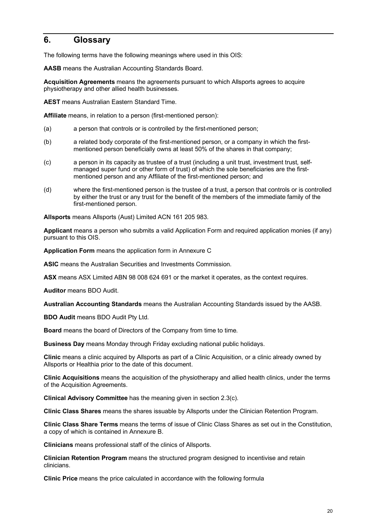## <span id="page-23-0"></span>**6. Glossary**

The following terms have the following meanings where used in this OIS:

**AASB** means the Australian Accounting Standards Board.

**Acquisition Agreements** means the agreements pursuant to which Allsports agrees to acquire physiotherapy and other allied health businesses.

**AEST** means Australian Eastern Standard Time.

**Affiliate** means, in relation to a person (first-mentioned person):

- (a) a person that controls or is controlled by the first-mentioned person;
- (b) a related body corporate of the first-mentioned person, or a company in which the firstmentioned person beneficially owns at least 50% of the shares in that company;
- (c) a person in its capacity as trustee of a trust (including a unit trust, investment trust, selfmanaged super fund or other form of trust) of which the sole beneficiaries are the firstmentioned person and any Affiliate of the first-mentioned person; and
- (d) where the first-mentioned person is the trustee of a trust, a person that controls or is controlled by either the trust or any trust for the benefit of the members of the immediate family of the first-mentioned person.

**Allsports** means Allsports (Aust) Limited ACN 161 205 983.

**Applicant** means a person who submits a valid Application Form and required application monies (if any) pursuant to this OIS.

**Application Form** means the application form in [Annexure C](#page-42-0)

**ASIC** means the Australian Securities and Investments Commission.

**ASX** means ASX Limited ABN 98 008 624 691 or the market it operates, as the context requires.

**Auditor** means BDO Audit.

**Australian Accounting Standards** means the Australian Accounting Standards issued by the AASB.

**BDO Audit means BDO Audit Pty Ltd.** 

**Board** means the board of Directors of the Company from time to time.

**Business Day** means Monday through Friday excluding national public holidays.

**Clinic** means a clinic acquired by Allsports as part of a Clinic Acquisition, or a clinic already owned by Allsports or Healthia prior to the date of this document.

**Clinic Acquisitions** means the acquisition of the physiotherapy and allied health clinics, under the terms of the Acquisition Agreements.

**Clinical Advisory Committee** has the meaning given in section [2.3](#page-9-3)[\(c\).](#page-10-0)

**Clinic Class Shares** means the shares issuable by Allsports under the Clinician Retention Program.

**Clinic Class Share Terms** means the terms of issue of Clinic Class Shares as set out in the Constitution, a copy of which is contained in Annexure B.

**Clinicians** means professional staff of the clinics of Allsports.

**Clinician Retention Program** means the structured program designed to incentivise and retain clinicians.

**Clinic Price** means the price calculated in accordance with the following formula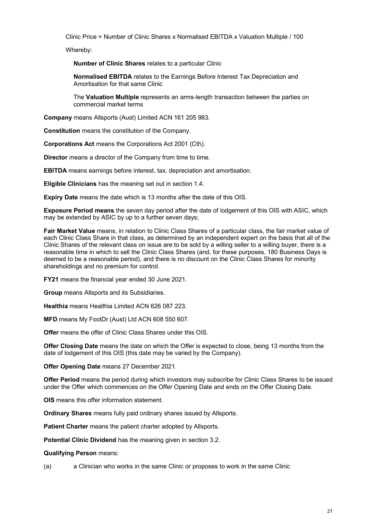Clinic Price = Number of Clinic Shares x Normalised EBITDA x Valuation Multiple / 100

Whereby:

**Number of Clinic Shares** relates to a particular Clinic

**Normalised EBITDA** relates to the Earnings Before Interest Tax Depreciation and Amortisation for that same Clinic

The **Valuation Multiple** represents an arms-length transaction between the parties on commercial market terms

**Company** means Allsports (Aust) Limited ACN 161 205 983.

**Constitution** means the constitution of the Company.

**Corporations Act** means the Corporations Act 2001 (Cth).

**Director** means a director of the Company from time to time.

**EBITDA** means earnings before interest, tax, depreciation and amortisation.

**Eligible Clinicians** has the meaning set out in section [1.4.](#page-5-1)

**Expiry Date** means the date which is 13 months after the date of this OIS.

**Exposure Period means** the seven day period after the date of lodgement of this OIS with ASIC, which may be extended by ASIC by up to a further seven days;

**Fair Market Value** means, in relation to Clinic Class Shares of a particular class, the fair market value of each Clinic Class Share in that class, as determined by an independent expert on the basis that all of the Clinic Shares of the relevant class on issue are to be sold by a willing seller to a willing buyer, there is a reasonable time in which to sell the Clinic Class Shares (and, for these purposes, 180 Business Days is deemed to be a reasonable period), and there is no discount on the Clinic Class Shares for minority shareholdings and no premium for control.

**FY21** means the financial year ended 30 June 2021.

**Group** means Allsports and its Subsidiaries.

**Healthia** means Healthia Limited ACN 626 087 223.

**MFD** means My FootDr (Aust) Ltd ACN 608 550 607.

**Offer** means the offer of Clinic Class Shares under this OIS.

**Offer Closing Date** means the date on which the Offer is expected to close, being 13 months from the date of lodgement of this OIS (this date may be varied by the Company).

**Offer Opening Date** means 27 December 2021.

**Offer Period** means the period during which investors may subscribe for Clinic Class Shares to be issued under the Offer which commences on the Offer Opening Date and ends on the Offer Closing Date.

**OIS** means this offer information statement.

**Ordinary Shares** means fully paid ordinary shares issued by Allsports.

**Patient Charter** means the patient charter adopted by Allsports.

**Potential Clinic Dividend** has the meaning given in section [3.2.](#page-13-0)

**Qualifying Person** means:

(a) a Clinician who works in the same Clinic or proposes to work in the same Clinic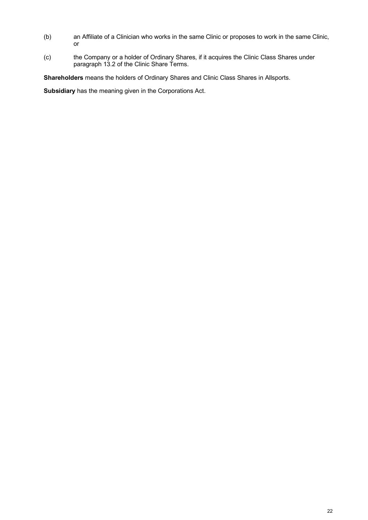- (b) an Affiliate of a Clinician who works in the same Clinic or proposes to work in the same Clinic, or
- (c) the Company or a holder of Ordinary Shares, if it acquires the Clinic Class Shares under paragraph 13.2 of the Clinic Share Terms.

**Shareholders** means the holders of Ordinary Shares and Clinic Class Shares in Allsports.

**Subsidiary** has the meaning given in the Corporations Act.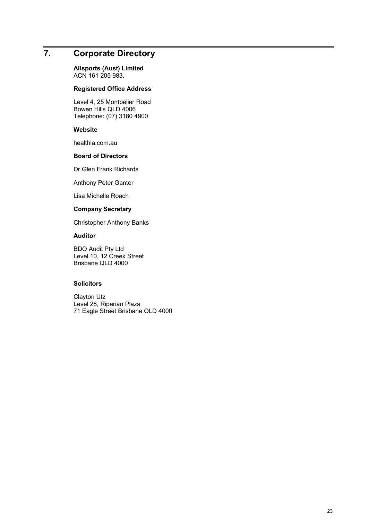## <span id="page-26-0"></span>**7. Corporate Directory**

**Allsports (Aust) Limited**  ACN 161 205 983.

#### **Registered Office Address**

Level 4, 25 Montpelier Road Bowen Hills QLD 4006 Telephone: (07) 3180 4900

#### **Website**

healthia.com.au

#### **Board of Directors**

Dr Glen Frank Richards

Anthony Peter Ganter

Lisa Michelle Roach

#### **Company Secretary**

Christopher Anthony Banks

#### **Auditor**

BDO Audit Pty Ltd Level 10, 12 Creek Street Brisbane QLD 4000

#### **Solicitors**

Clayton Utz Level 28, Riparian Plaza 71 Eagle Street Brisbane QLD 4000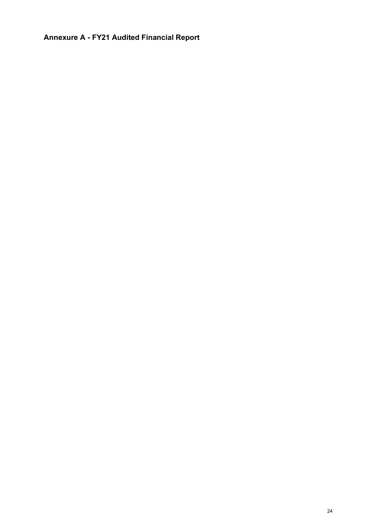<span id="page-27-0"></span>**Annexure A - FY21 Audited Financial Report**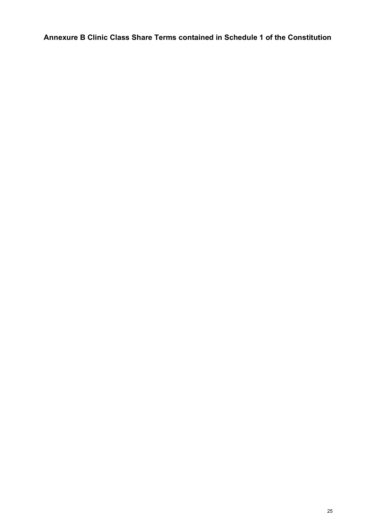<span id="page-28-0"></span>**Annexure B Clinic Class Share Terms contained in Schedule 1 of the Constitution**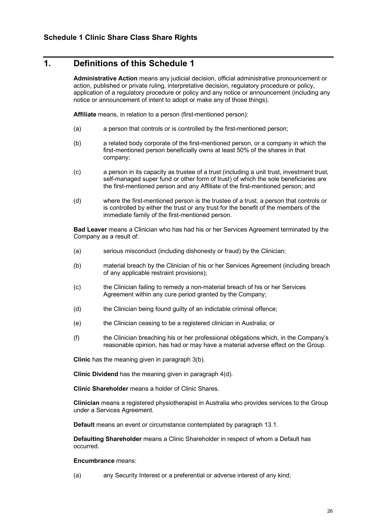## **1. Definitions of this Schedule 1**

**Administrative Action** means any judicial decision, official administrative pronouncement or action, published or private ruling, interpretative decision, regulatory procedure or policy, application of a regulatory procedure or policy and any notice or announcement (including any notice or announcement of intent to adopt or make any of those things).

**Affiliate** means, in relation to a person (first-mentioned person):

- (a) a person that controls or is controlled by the first-mentioned person;
- (b) a related body corporate of the first-mentioned person, or a company in which the first-mentioned person beneficially owns at least 50% of the shares in that company;
- (c) a person in its capacity as trustee of a trust (including a unit trust, investment trust, self-managed super fund or other form of trust) of which the sole beneficiaries are the first-mentioned person and any Affiliate of the first-mentioned person; and
- (d) where the first-mentioned person is the trustee of a trust, a person that controls or is controlled by either the trust or any trust for the benefit of the members of the immediate family of the first-mentioned person.

**Bad Leaver** means a Clinician who has had his or her Services Agreement terminated by the Company as a result of:

- (a) serious misconduct (including dishonesty or fraud) by the Clinician;
- (b) material breach by the Clinician of his or her Services Agreement (including breach of any applicable restraint provisions);
- (c) the Clinician failing to remedy a non-material breach of his or her Services Agreement within any cure period granted by the Company;
- (d) the Clinician being found guilty of an indictable criminal offence;
- (e) the Clinician ceasing to be a registered clinician in Australia; or
- (f) the Clinician breaching his or her professional obligations which, in the Company's reasonable opinion, has had or may have a material adverse effect on the Group.

**Clinic** has the meaning given in paragraph [3\(b\).](#page-32-0)

**Clinic Dividend** has the meaning given in paragraph [4\(d\).](#page-33-0)

**Clinic Shareholder** means a holder of Clinic Shares.

**Clinician** means a registered physiotherapist in Australia who provides services to the Group under a Services Agreement.

**Default** means an event or circumstance contemplated by paragrap[h 13.1.](#page-37-0)

**Defaulting Shareholder** means a Clinic Shareholder in respect of whom a Default has occurred.

#### **Encumbrance** means:

<span id="page-29-0"></span>(a) any Security Interest or a preferential or adverse interest of any kind;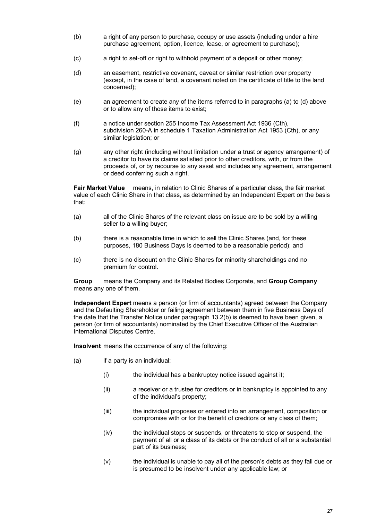- (b) a right of any person to purchase, occupy or use assets (including under a hire purchase agreement, option, licence, lease, or agreement to purchase);
- (c) a right to set-off or right to withhold payment of a deposit or other money;
- <span id="page-30-0"></span>(d) an easement, restrictive covenant, caveat or similar restriction over property (except, in the case of land, a covenant noted on the certificate of title to the land concerned);
- (e) an agreement to create any of the items referred to in paragraphs [\(a\)](#page-29-0) to [\(d\)](#page-30-0) above or to allow any of those items to exist;
- (f) a notice under section 255 Income Tax Assessment Act 1936 (Cth), subdivision 260-A in schedule 1 Taxation Administration Act 1953 (Cth), or any similar legislation; or
- (g) any other right (including without limitation under a trust or agency arrangement) of a creditor to have its claims satisfied prior to other creditors, with, or from the proceeds of, or by recourse to any asset and includes any agreement, arrangement or deed conferring such a right.

**Fair Market Value** means, in relation to Clinic Shares of a particular class, the fair market value of each Clinic Share in that class, as determined by an Independent Expert on the basis that:

- (a) all of the Clinic Shares of the relevant class on issue are to be sold by a willing seller to a willing buyer;
- (b) there is a reasonable time in which to sell the Clinic Shares (and, for these purposes, 180 Business Days is deemed to be a reasonable period); and
- (c) there is no discount on the Clinic Shares for minority shareholdings and no premium for control.

**Group** means the Company and its Related Bodies Corporate, and **Group Company** means any one of them.

**Independent Expert** means a person (or firm of accountants) agreed between the Company and the Defaulting Shareholder or failing agreement between them in five Business Days of the date that the Transfer Notice under paragraph [13.2\(b\)](#page-38-0) is deemed to have been given, a person (or firm of accountants) nominated by the Chief Executive Officer of the Australian International Disputes Centre.

**Insolvent** means the occurrence of any of the following:

- $(a)$  if a party is an individual:
	- (i) the individual has a bankruptcy notice issued against it;
	- (ii) a receiver or a trustee for creditors or in bankruptcy is appointed to any of the individual's property;
	- (iii) the individual proposes or entered into an arrangement, composition or compromise with or for the benefit of creditors or any class of them;
	- (iv) the individual stops or suspends, or threatens to stop or suspend, the payment of all or a class of its debts or the conduct of all or a substantial part of its business;
	- (v) the individual is unable to pay all of the person's debts as they fall due or is presumed to be insolvent under any applicable law; or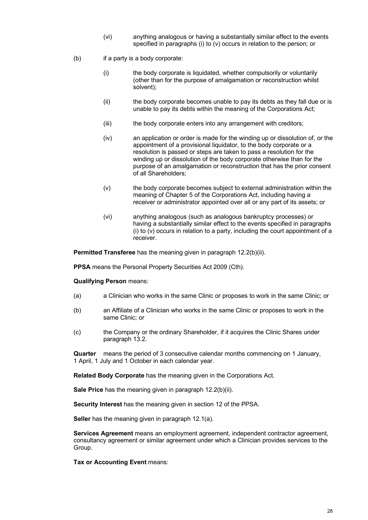- (vi) anything analogous or having a substantially similar effect to the events specified in paragraphs (i) to (v) occurs in relation to the person; or
- (b) if a party is a body corporate:
	- (i) the body corporate is liquidated, whether compulsorily or voluntarily (other than for the purpose of amalgamation or reconstruction whilst solvent);
	- (ii) the body corporate becomes unable to pay its debts as they fall due or is unable to pay its debts within the meaning of the Corporations Act;
	- (iii) the body corporate enters into any arrangement with creditors;
	- (iv) an application or order is made for the winding up or dissolution of, or the appointment of a provisional liquidator, to the body corporate or a resolution is passed or steps are taken to pass a resolution for the winding up or dissolution of the body corporate otherwise than for the purpose of an amalgamation or reconstruction that has the prior consent of all Shareholders;
	- (v) the body corporate becomes subject to external administration within the meaning of Chapter 5 of the Corporations Act, including having a receiver or administrator appointed over all or any part of its assets; or
	- (vi) anything analogous (such as analogous bankruptcy processes) or having a substantially similar effect to the events specified in paragraphs (i) to (v) occurs in relation to a party, including the court appointment of a receiver.

**Permitted Transferee** has the meaning given in paragraph [12.2\(b\)\(ii\).](#page-36-0)

**PPSA** means the Personal Property Securities Act 2009 (Cth).

#### **Qualifying Person** means:

- (a) a Clinician who works in the same Clinic or proposes to work in the same Clinic; or
- (b) an Affiliate of a Clinician who works in the same Clinic or proposes to work in the same Clinic; or
- (c) the Company or the ordinary Shareholder, if it acquires the Clinic Shares under paragraph [13.2.](#page-38-1)

**Quarter** means the period of 3 consecutive calendar months commencing on 1 January, 1 April, 1 July and 1 October in each calendar year.

**Related Body Corporate** has the meaning given in the Corporations Act.

**Sale Price** has the meaning given in paragraph [12.2\(b\)\(ii\).](#page-36-0)

**Security Interest** has the meaning given in section 12 of the PPSA.

**Seller** has the meaning given in paragraph [12.1\(a\).](#page-36-1)

**Services Agreement** means an employment agreement, independent contractor agreement, consultancy agreement or similar agreement under which a Clinician provides services to the Group.

**Tax or Accounting Event** means: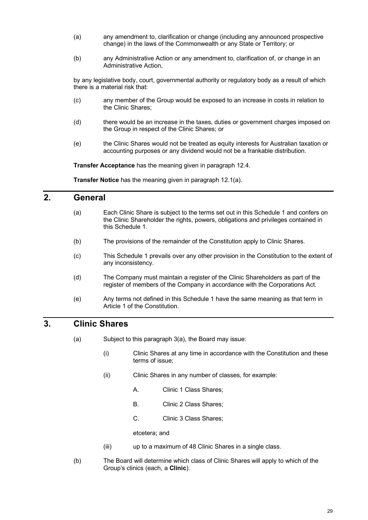- (a) any amendment to, clarification or change (including any announced prospective change) in the laws of the Commonwealth or any State or Territory; or
- (b) any Administrative Action or any amendment to, clarification of, or change in an Administrative Action,

by any legislative body, court, governmental authority or regulatory body as a result of which there is a material risk that:

- (c) any member of the Group would be exposed to an increase in costs in relation to the Clinic Shares;
- (d) there would be an increase in the taxes, duties or government charges imposed on the Group in respect of the Clinic Shares; or
- (e) the Clinic Shares would not be treated as equity interests for Australian taxation or accounting purposes or any dividend would not be a frankable distribution.

**Transfer Acceptance** has the meaning given in paragraph [12.4.](#page-37-1)

**Transfer Notice** has the meaning given in paragraph [12.1\(a\).](#page-36-1)

## **2. General**

- (a) Each Clinic Share is subject to the terms set out in this Schedule 1 and confers on the Clinic Shareholder the rights, powers, obligations and privileges contained in this Schedule 1.
- (b) The provisions of the remainder of the Constitution apply to Clinic Shares.
- (c) This Schedule 1 prevails over any other provision in the Constitution to the extent of any inconsistency.
- (d) The Company must maintain a register of the Clinic Shareholders as part of the register of members of the Company in accordance with the Corporations Act.
- (e) Any terms not defined in this Schedule 1 have the same meaning as that term in Article 1 of the Constitution.

## <span id="page-32-2"></span><span id="page-32-1"></span>**3. Clinic Shares**

- (a) Subject to this paragraph [3](#page-32-1)[\(a\),](#page-32-2) the Board may issue:
	- (i) Clinic Shares at any time in accordance with the Constitution and these terms of issue;
	- (ii) Clinic Shares in any number of classes, for example:
		- A. Clinic 1 Class Shares;
		- B. Clinic 2 Class Shares;
		- C. Clinic 3 Class Shares;

etcetera; and

- (iii) up to a maximum of 48 Clinic Shares in a single class.
- <span id="page-32-0"></span>(b) The Board will determine which class of Clinic Shares will apply to which of the Group's clinics (each, a **Clinic**).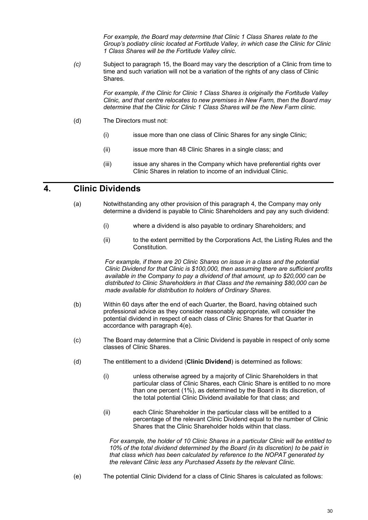*For example, the Board may determine that Clinic 1 Class Shares relate to the Group's podiatry clinic located at Fortitude Valley, in which case the Clinic for Clinic 1 Class Shares will be the Fortitude Valley clinic.*

*(c)* Subject to paragraph [15,](#page-40-0) the Board may vary the description of a Clinic from time to time and such variation will not be a variation of the rights of any class of Clinic Shares.

> *For example, if the Clinic for Clinic 1 Class Shares is originally the Fortitude Valley Clinic, and that centre relocates to new premises in New Farm, then the Board may determine that the Clinic for Clinic 1 Class Shares will be the New Farm clinic.*

- (d) The Directors must not:
	- (i) issue more than one class of Clinic Shares for any single Clinic:
	- (ii) issue more than 48 Clinic Shares in a single class; and
	- (iii) issue any shares in the Company which have preferential rights over Clinic Shares in relation to income of an individual Clinic.

## <span id="page-33-1"></span>**4. Clinic Dividends**

- (a) Notwithstanding any other provision of this paragraph [4,](#page-33-1) the Company may only determine a dividend is payable to Clinic Shareholders and pay any such dividend:
	- (i) where a dividend is also payable to ordinary Shareholders; and
	- (ii) to the extent permitted by the Corporations Act, the Listing Rules and the Constitution.

*For example, if there are 20 Clinic Shares on issue in a class and the potential Clinic Dividend for that Clinic is \$100,000, then assuming there are sufficient profits available in the Company to pay a dividend of that amount, up to \$20,000 can be distributed to Clinic Shareholders in that Class and the remaining \$80,000 can be made available for distribution to holders of Ordinary Shares.*

- (b) Within 60 days after the end of each Quarter, the Board, having obtained such professional advice as they consider reasonably appropriate, will consider the potential dividend in respect of each class of Clinic Shares for that Quarter in accordance with paragraph [4](#page-33-1)[\(e\).](#page-33-2)
- (c) The Board may determine that a Clinic Dividend is payable in respect of only some classes of Clinic Shares.
- <span id="page-33-0"></span>(d) The entitlement to a dividend (**Clinic Dividend**) is determined as follows:
	- (i) unless otherwise agreed by a majority of Clinic Shareholders in that particular class of Clinic Shares, each Clinic Share is entitled to no more than one percent (1%), as determined by the Board in its discretion, of the total potential Clinic Dividend available for that class; and
	- (ii) each Clinic Shareholder in the particular class will be entitled to a percentage of the relevant Clinic Dividend equal to the number of Clinic Shares that the Clinic Shareholder holds within that class.

*For example, the holder of 10 Clinic Shares in a particular Clinic will be entitled to 10% of the total dividend determined by the Board (in its discretion) to be paid in that class which has been calculated by reference to the NOPAT generated by the relevant Clinic less any Purchased Assets by the relevant Clinic.*

<span id="page-33-2"></span>(e) The potential Clinic Dividend for a class of Clinic Shares is calculated as follows: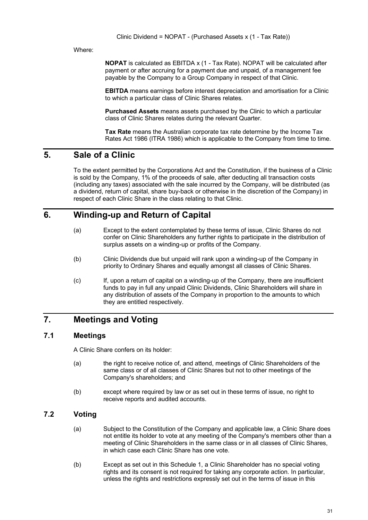Where:

**NOPAT** is calculated as EBITDA x (1 - Tax Rate). NOPAT will be calculated after payment or after accruing for a payment due and unpaid, of a management fee payable by the Company to a Group Company in respect of that Clinic.

**EBITDA** means earnings before interest depreciation and amortisation for a Clinic to which a particular class of Clinic Shares relates.

**Purchased Assets** means assets purchased by the Clinic to which a particular class of Clinic Shares relates during the relevant Quarter.

**Tax Rate** means the Australian corporate tax rate determine by the Income Tax Rates Act 1986 (ITRA 1986) which is applicable to the Company from time to time.

## **5. Sale of a Clinic**

To the extent permitted by the Corporations Act and the Constitution, if the business of a Clinic is sold by the Company, 1% of the proceeds of sale, after deducting all transaction costs (including any taxes) associated with the sale incurred by the Company, will be distributed (as a dividend, return of capital, share buy-back or otherwise in the discretion of the Company) in respect of each Clinic Share in the class relating to that Clinic.

## <span id="page-34-0"></span>**6. Winding-up and Return of Capital**

- (a) Except to the extent contemplated by these terms of issue, Clinic Shares do not confer on Clinic Shareholders any further rights to participate in the distribution of surplus assets on a winding-up or profits of the Company.
- (b) Clinic Dividends due but unpaid will rank upon a winding-up of the Company in priority to Ordinary Shares and equally amongst all classes of Clinic Shares.
- (c) If, upon a return of capital on a winding-up of the Company, there are insufficient funds to pay in full any unpaid Clinic Dividends, Clinic Shareholders will share in any distribution of assets of the Company in proportion to the amounts to which they are entitled respectively.

## **7. Meetings and Voting**

#### **7.1 Meetings**

A Clinic Share confers on its holder:

- (a) the right to receive notice of, and attend, meetings of Clinic Shareholders of the same class or of all classes of Clinic Shares but not to other meetings of the Company's shareholders; and
- (b) except where required by law or as set out in these terms of issue, no right to receive reports and audited accounts.

#### **7.2 Voting**

- (a) Subject to the Constitution of the Company and applicable law, a Clinic Share does not entitle its holder to vote at any meeting of the Company's members other than a meeting of Clinic Shareholders in the same class or in all classes of Clinic Shares, in which case each Clinic Share has one vote.
- (b) Except as set out in this Schedule 1, a Clinic Shareholder has no special voting rights and its consent is not required for taking any corporate action. In particular, unless the rights and restrictions expressly set out in the terms of issue in this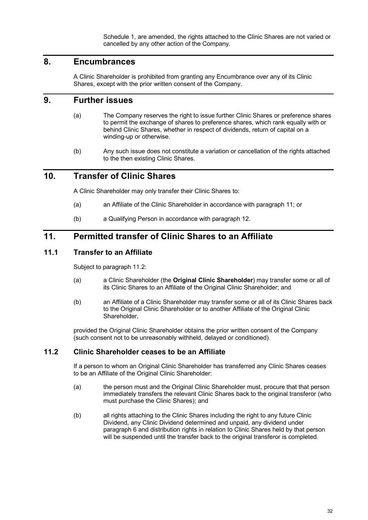Schedule 1, are amended, the rights attached to the Clinic Shares are not varied or cancelled by any other action of the Company.

#### **8. Encumbrances**

A Clinic Shareholder is prohibited from granting any Encumbrance over any of its Clinic Shares, except with the prior written consent of the Company.

## **9. Further issues**

- (a) The Company reserves the right to issue further Clinic Shares or preference shares to permit the exchange of shares to preference shares, which rank equally with or behind Clinic Shares, whether in respect of dividends, return of capital on a winding-up or otherwise.
- (b) Any such issue does not constitute a variation or cancellation of the rights attached to the then existing Clinic Shares.

#### **10. Transfer of Clinic Shares**

A Clinic Shareholder may only transfer their Clinic Shares to:

- (a) an Affiliate of the Clinic Shareholder in accordance with paragraph [11;](#page-35-0) or
- (b) a Qualifying Person in accordance with paragraph [12.](#page-36-2)

## <span id="page-35-0"></span>**11. Permitted transfer of Clinic Shares to an Affiliate**

#### **11.1 Transfer to an Affiliate**

Subject to paragrap[h 11.2:](#page-35-1)

- (a) a Clinic Shareholder (the **Original Clinic Shareholder**) may transfer some or all of its Clinic Shares to an Affiliate of the Original Clinic Shareholder; and
- (b) an Affiliate of a Clinic Shareholder may transfer some or all of its Clinic Shares back to the Original Clinic Shareholder or to another Affiliate of the Original Clinic Shareholder,

provided the Original Clinic Shareholder obtains the prior written consent of the Company (such consent not to be unreasonably withheld, delayed or conditioned).

#### <span id="page-35-1"></span>**11.2 Clinic Shareholder ceases to be an Affiliate**

If a person to whom an Original Clinic Shareholder has transferred any Clinic Shares ceases to be an Affiliate of the Original Clinic Shareholder:

- <span id="page-35-2"></span>(a) the person must and the Original Clinic Shareholder must, procure that that person immediately transfers the relevant Clinic Shares back to the original transferor (who must purchase the Clinic Shares); and
- (b) all rights attaching to the Clinic Shares including the right to any future Clinic Dividend, any Clinic Dividend determined and unpaid, any dividend under paragraph [6](#page-34-0) and distribution rights in relation to Clinic Shares held by that person will be suspended until the transfer back to the original transferor is completed.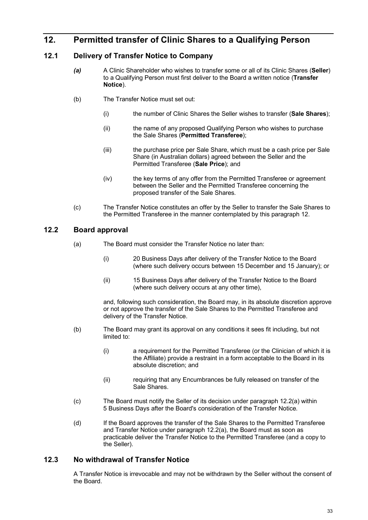## <span id="page-36-2"></span>**12. Permitted transfer of Clinic Shares to a Qualifying Person**

#### <span id="page-36-5"></span><span id="page-36-1"></span>**12.1 Delivery of Transfer Notice to Company**

- *(a)* A Clinic Shareholder who wishes to transfer some or all of its Clinic Shares (**Seller**) to a Qualifying Person must first deliver to the Board a written notice (**Transfer Notice**).
- (b) The Transfer Notice must set out:
	- (i) the number of Clinic Shares the Seller wishes to transfer (**Sale Shares**);
	- (ii) the name of any proposed Qualifying Person who wishes to purchase the Sale Shares (**Permitted Transferee**);
	- (iii) the purchase price per Sale Share, which must be a cash price per Sale Share (in Australian dollars) agreed between the Seller and the Permitted Transferee (**Sale Price**); and
	- (iv) the key terms of any offer from the Permitted Transferee or agreement between the Seller and the Permitted Transferee concerning the proposed transfer of the Sale Shares.
- (c) The Transfer Notice constitutes an offer by the Seller to transfer the Sale Shares to the Permitted Transferee in the manner contemplated by this paragraph [12.](#page-36-2)

#### <span id="page-36-4"></span><span id="page-36-3"></span>**12.2 Board approval**

- (a) The Board must consider the Transfer Notice no later than:
	- (i) 20 Business Days after delivery of the Transfer Notice to the Board (where such delivery occurs between 15 December and 15 January); or
	- (ii) 15 Business Days after delivery of the Transfer Notice to the Board (where such delivery occurs at any other time),

and, following such consideration, the Board may, in its absolute discretion approve or not approve the transfer of the Sale Shares to the Permitted Transferee and delivery of the Transfer Notice.

- (b) The Board may grant its approval on any conditions it sees fit including, but not limited to:
	- (i) a requirement for the Permitted Transferee (or the Clinician of which it is the Affiliate) provide a restraint in a form acceptable to the Board in its absolute discretion; and
	- (ii) requiring that any Encumbrances be fully released on transfer of the Sale Shares.
- <span id="page-36-0"></span>(c) The Board must notify the Seller of its decision under paragraph [12.2](#page-36-3)[\(a\)](#page-36-4) within 5 Business Days after the Board's consideration of the Transfer Notice.
- (d) If the Board approves the transfer of the Sale Shares to the Permitted Transferee and Transfer Notice under paragraph [12.2](#page-36-3)[\(a\),](#page-36-4) the Board must as soon as practicable deliver the Transfer Notice to the Permitted Transferee (and a copy to the Seller).

#### **12.3 No withdrawal of Transfer Notice**

A Transfer Notice is irrevocable and may not be withdrawn by the Seller without the consent of the Board.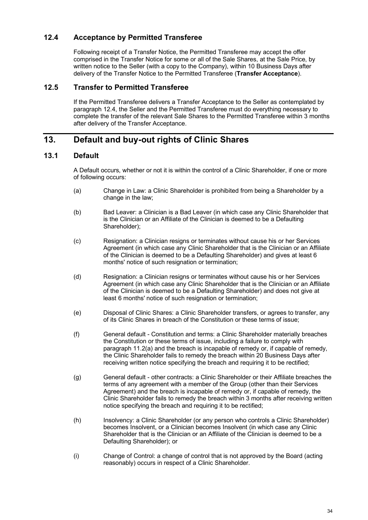#### <span id="page-37-1"></span>**12.4 Acceptance by Permitted Transferee**

Following receipt of a Transfer Notice, the Permitted Transferee may accept the offer comprised in the Transfer Notice for some or all of the Sale Shares, at the Sale Price, by written notice to the Seller (with a copy to the Company), within 10 Business Days after delivery of the Transfer Notice to the Permitted Transferee (**Transfer Acceptance**).

#### **12.5 Transfer to Permitted Transferee**

If the Permitted Transferee delivers a Transfer Acceptance to the Seller as contemplated by paragraph [12.4,](#page-37-1) the Seller and the Permitted Transferee must do everything necessary to complete the transfer of the relevant Sale Shares to the Permitted Transferee within 3 months after delivery of the Transfer Acceptance.

## <span id="page-37-2"></span>**13. Default and buy-out rights of Clinic Shares**

#### <span id="page-37-0"></span>**13.1 Default**

A Default occurs, whether or not it is within the control of a Clinic Shareholder, if one or more of following occurs:

- <span id="page-37-3"></span>(a) Change in Law: a Clinic Shareholder is prohibited from being a Shareholder by a change in the law;
- (b) Bad Leaver: a Clinician is a Bad Leaver (in which case any Clinic Shareholder that is the Clinician or an Affiliate of the Clinician is deemed to be a Defaulting Shareholder);
- <span id="page-37-4"></span>(c) Resignation: a Clinician resigns or terminates without cause his or her Services Agreement (in which case any Clinic Shareholder that is the Clinician or an Affiliate of the Clinician is deemed to be a Defaulting Shareholder) and gives at least 6 months' notice of such resignation or termination;
- (d) Resignation: a Clinician resigns or terminates without cause his or her Services Agreement (in which case any Clinic Shareholder that is the Clinician or an Affiliate of the Clinician is deemed to be a Defaulting Shareholder) and does not give at least 6 months' notice of such resignation or termination;
- (e) Disposal of Clinic Shares: a Clinic Shareholder transfers, or agrees to transfer, any of its Clinic Shares in breach of the Constitution or these terms of issue;
- (f) General default Constitution and terms: a Clinic Shareholder materially breaches the Constitution or these terms of issue, including a failure to comply with paragraph [11.2](#page-35-1)[\(a\)](#page-35-2) and the breach is incapable of remedy or, if capable of remedy, the Clinic Shareholder fails to remedy the breach within 20 Business Days after receiving written notice specifying the breach and requiring it to be rectified;
- (g) General default other contracts: a Clinic Shareholder or their Affiliate breaches the terms of any agreement with a member of the Group (other than their Services Agreement) and the breach is incapable of remedy or, if capable of remedy, the Clinic Shareholder fails to remedy the breach within 3 months after receiving written notice specifying the breach and requiring it to be rectified;
- (h) Insolvency: a Clinic Shareholder (or any person who controls a Clinic Shareholder) becomes Insolvent, or a Clinician becomes Insolvent (in which case any Clinic Shareholder that is the Clinician or an Affiliate of the Clinician is deemed to be a Defaulting Shareholder); or
- (i) Change of Control: a change of control that is not approved by the Board (acting reasonably) occurs in respect of a Clinic Shareholder.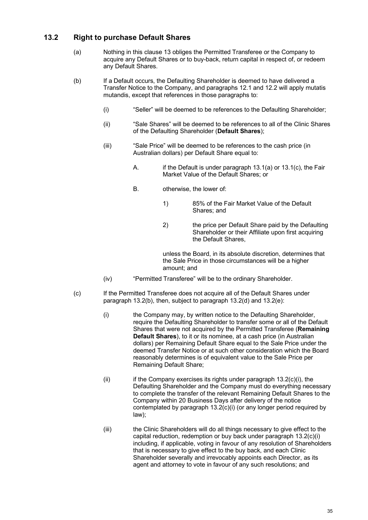#### <span id="page-38-1"></span>**13.2 Right to purchase Default Shares**

- (a) Nothing in this clause [13](#page-37-2) obliges the Permitted Transferee or the Company to acquire any Default Shares or to buy-back, return capital in respect of, or redeem any Default Shares.
- <span id="page-38-0"></span>(b) If a Default occurs, the Defaulting Shareholder is deemed to have delivered a Transfer Notice to the Company, and paragraphs [12.1](#page-36-5) and [12.2](#page-36-3) will apply mutatis mutandis, except that references in those paragraphs to:
	- (i) "Seller" will be deemed to be references to the Defaulting Shareholder;
	- (ii) "Sale Shares" will be deemed to be references to all of the Clinic Shares of the Defaulting Shareholder (**Default Shares**);
	- (iii) "Sale Price" will be deemed to be references to the cash price (in Australian dollars) per Default Share equal to:
		- A. if the Default is under paragraph [13.1](#page-37-0)[\(a\)](#page-37-3) or [13.1\(c\),](#page-37-4) the Fair Market Value of the Default Shares; or
		- B. otherwise, the lower of:
			- 1) 85% of the Fair Market Value of the Default Shares; and
			- 2) the price per Default Share paid by the Defaulting Shareholder or their Affiliate upon first acquiring the Default Shares,

unless the Board, in its absolute discretion, determines that the Sale Price in those circumstances will be a higher amount; and

- (iv) "Permitted Transferee" will be to the ordinary Shareholder.
- <span id="page-38-4"></span><span id="page-38-3"></span><span id="page-38-2"></span>(c) If the Permitted Transferee does not acquire all of the Default Shares under paragraph [13.2](#page-38-1)[\(b\),](#page-38-0) then, subject to paragraph [13.2](#page-38-1)[\(d\)](#page-39-0) and [13.2](#page-38-1)[\(e\):](#page-39-1)
	- (i) the Company may, by written notice to the Defaulting Shareholder, require the Defaulting Shareholder to transfer some or all of the Default Shares that were not acquired by the Permitted Transferee (**Remaining Default Shares**), to it or its nominee, at a cash price (in Australian dollars) per Remaining Default Share equal to the Sale Price under the deemed Transfer Notice or at such other consideration which the Board reasonably determines is of equivalent value to the Sale Price per Remaining Default Share;
	- (ii) if the Company exercises its rights under paragraph  $13.2(c)(i)$  $13.2(c)(i)$  $13.2(c)(i)$ , the Defaulting Shareholder and the Company must do everything necessary to complete the transfer of the relevant Remaining Default Shares to the Company within 20 Business Days after delivery of the notice contemplated by paragraph [13.2](#page-38-1)[\(c\)](#page-38-2)[\(i\)](#page-38-3) (or any longer period required by law);
	- (iii) the Clinic Shareholders will do all things necessary to give effect to the capital reduction, redemption or buy back under paragraph [13.2](#page-38-1)[\(c\)](#page-38-2)[\(i\)](#page-38-3) including, if applicable, voting in favour of any resolution of Shareholders that is necessary to give effect to the buy back, and each Clinic Shareholder severally and irrevocably appoints each Director, as its agent and attorney to vote in favour of any such resolutions; and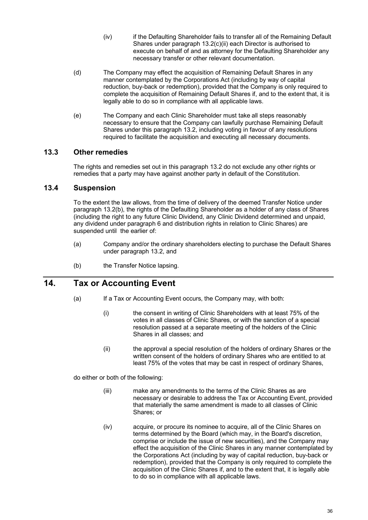- (iv) if the Defaulting Shareholder fails to transfer all of the Remaining Default Shares under paragraph [13.2](#page-38-1)[\(c\)](#page-38-2)[\(ii\)](#page-38-4) each Director is authorised to execute on behalf of and as attorney for the Defaulting Shareholder any necessary transfer or other relevant documentation.
- <span id="page-39-0"></span>(d) The Company may effect the acquisition of Remaining Default Shares in any manner contemplated by the Corporations Act (including by way of capital reduction, buy-back or redemption), provided that the Company is only required to complete the acquisition of Remaining Default Shares if, and to the extent that, it is legally able to do so in compliance with all applicable laws.
- <span id="page-39-1"></span>(e) The Company and each Clinic Shareholder must take all steps reasonably necessary to ensure that the Company can lawfully purchase Remaining Default Shares under this paragraph [13.2,](#page-38-1) including voting in favour of any resolutions required to facilitate the acquisition and executing all necessary documents.

#### **13.3 Other remedies**

The rights and remedies set out in this paragraph [13.2](#page-38-1) do not exclude any other rights or remedies that a party may have against another party in default of the Constitution.

#### **13.4 Suspension**

To the extent the law allows, from the time of delivery of the deemed Transfer Notice under paragraph [13.2](#page-38-1)[\(b\),](#page-38-0) the rights of the Defaulting Shareholder as a holder of any class of Shares (including the right to any future Clinic Dividend, any Clinic Dividend determined and unpaid, any dividend under paragraph [6](#page-34-0) and distribution rights in relation to Clinic Shares) are suspended until the earlier of:

- (a) Company and/or the ordinary shareholders electing to purchase the Default Shares under paragraph [13.2,](#page-38-1) and
- (b) the Transfer Notice lapsing.

## <span id="page-39-3"></span><span id="page-39-2"></span>**14. Tax or Accounting Event**

- (a) If a Tax or Accounting Event occurs, the Company may, with both:
	- (i) the consent in writing of Clinic Shareholders with at least 75% of the votes in all classes of Clinic Shares, or with the sanction of a special resolution passed at a separate meeting of the holders of the Clinic Shares in all classes; and
	- (ii) the approval a special resolution of the holders of ordinary Shares or the written consent of the holders of ordinary Shares who are entitled to at least 75% of the votes that may be cast in respect of ordinary Shares,

<span id="page-39-4"></span>do either or both of the following:

- (iii) make any amendments to the terms of the Clinic Shares as are necessary or desirable to address the Tax or Accounting Event, provided that materially the same amendment is made to all classes of Clinic Shares; or
- (iv) acquire, or procure its nominee to acquire, all of the Clinic Shares on terms determined by the Board (which may, in the Board's discretion, comprise or include the issue of new securities), and the Company may effect the acquisition of the Clinic Shares in any manner contemplated by the Corporations Act (including by way of capital reduction, buy-back or redemption), provided that the Company is only required to complete the acquisition of the Clinic Shares if, and to the extent that, it is legally able to do so in compliance with all applicable laws.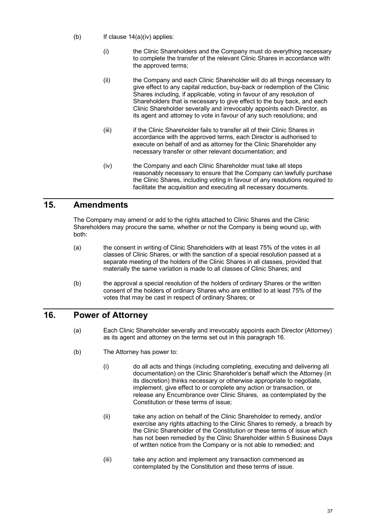- (b) If clause  $14(a)(iv)$  $14(a)(iv)$  $14(a)(iv)$  applies:
	- (i) the Clinic Shareholders and the Company must do everything necessary to complete the transfer of the relevant Clinic Shares in accordance with the approved terms;
	- (ii) the Company and each Clinic Shareholder will do all things necessary to give effect to any capital reduction, buy-back or redemption of the Clinic Shares including, if applicable, voting in favour of any resolution of Shareholders that is necessary to give effect to the buy back, and each Clinic Shareholder severally and irrevocably appoints each Director, as its agent and attorney to vote in favour of any such resolutions; and
	- (iii) if the Clinic Shareholder fails to transfer all of their Clinic Shares in accordance with the approved terms, each Director is authorised to execute on behalf of and as attorney for the Clinic Shareholder any necessary transfer or other relevant documentation; and
	- (iv) the Company and each Clinic Shareholder must take all steps reasonably necessary to ensure that the Company can lawfully purchase the Clinic Shares, including voting in favour of any resolutions required to facilitate the acquisition and executing all necessary documents.

## <span id="page-40-0"></span>**15. Amendments**

The Company may amend or add to the rights attached to Clinic Shares and the Clinic Shareholders may procure the same, whether or not the Company is being wound up, with both:

- (a) the consent in writing of Clinic Shareholders with at least 75% of the votes in all classes of Clinic Shares, or with the sanction of a special resolution passed at a separate meeting of the holders of the Clinic Shares in all classes, provided that materially the same variation is made to all classes of Clinic Shares; and
- (b) the approval a special resolution of the holders of ordinary Shares or the written consent of the holders of ordinary Shares who are entitled to at least 75% of the votes that may be cast in respect of ordinary Shares; or

## <span id="page-40-2"></span><span id="page-40-1"></span>**16. Power of Attorney**

- (a) Each Clinic Shareholder severally and irrevocably appoints each Director (Attorney) as its agent and attorney on the terms set out in this paragraph [16.](#page-40-1)
- (b) The Attorney has power to:
	- (i) do all acts and things (including completing, executing and delivering all documentation) on the Clinic Shareholder's behalf which the Attorney (in its discretion) thinks necessary or otherwise appropriate to negotiate, implement, give effect to or complete any action or transaction, or release any Encumbrance over Clinic Shares, as contemplated by the Constitution or these terms of issue;
	- (ii) take any action on behalf of the Clinic Shareholder to remedy, and/or exercise any rights attaching to the Clinic Shares to remedy, a breach by the Clinic Shareholder of the Constitution or these terms of issue which has not been remedied by the Clinic Shareholder within 5 Business Days of written notice from the Company or is not able to remedied; and
	- (iii) take any action and implement any transaction commenced as contemplated by the Constitution and these terms of issue.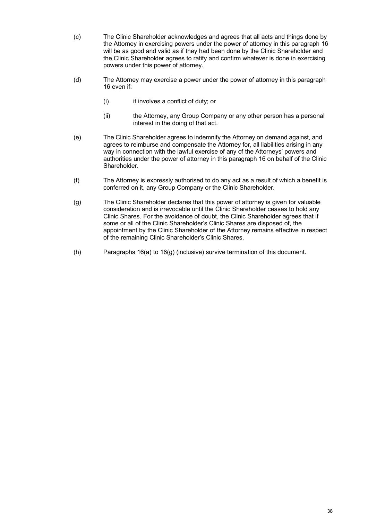- (c) The Clinic Shareholder acknowledges and agrees that all acts and things done by the Attorney in exercising powers under the power of attorney in this paragrap[h 16](#page-40-1) will be as good and valid as if they had been done by the Clinic Shareholder and the Clinic Shareholder agrees to ratify and confirm whatever is done in exercising powers under this power of attorney.
- (d) The Attorney may exercise a power under the power of attorney in this paragraph [16](#page-40-1) even if:
	- (i) it involves a conflict of duty; or
	- (ii) the Attorney, any Group Company or any other person has a personal interest in the doing of that act.
- (e) The Clinic Shareholder agrees to indemnify the Attorney on demand against, and agrees to reimburse and compensate the Attorney for, all liabilities arising in any way in connection with the lawful exercise of any of the Attorneys' powers and authorities under the power of attorney in this paragraph [16](#page-40-1) on behalf of the Clinic Shareholder.
- (f) The Attorney is expressly authorised to do any act as a result of which a benefit is conferred on it, any Group Company or the Clinic Shareholder.
- <span id="page-41-0"></span>(g) The Clinic Shareholder declares that this power of attorney is given for valuable consideration and is irrevocable until the Clinic Shareholder ceases to hold any Clinic Shares. For the avoidance of doubt, the Clinic Shareholder agrees that if some or all of the Clinic Shareholder's Clinic Shares are disposed of, the appointment by the Clinic Shareholder of the Attorney remains effective in respect of the remaining Clinic Shareholder's Clinic Shares.
- (h) Paragraphs [16](#page-40-1)[\(a\)](#page-40-2) to [16](#page-40-1)[\(g\)](#page-41-0) (inclusive) survive termination of this document.